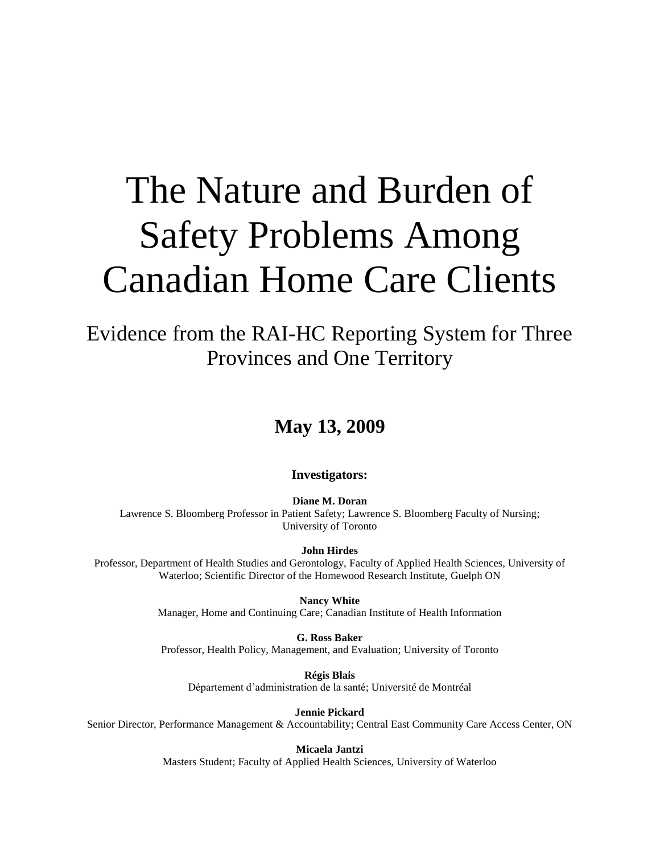# The Nature and Burden of Safety Problems Among Canadian Home Care Clients

Evidence from the RAI-HC Reporting System for Three Provinces and One Territory

# **May 13, 2009**

#### **Investigators:**

**Diane M. Doran** Lawrence S. Bloomberg Professor in Patient Safety; Lawrence S. Bloomberg Faculty of Nursing; University of Toronto

**John Hirdes**

Professor, Department of Health Studies and Gerontology, Faculty of Applied Health Sciences, University of Waterloo; Scientific Director of the Homewood Research Institute, Guelph ON

> **Nancy White** Manager, Home and Continuing Care; Canadian Institute of Health Information

> **G. Ross Baker** Professor, Health Policy, Management, and Evaluation; University of Toronto

**Régis Blais** Département d'administration de la santé; Université de Montréal

**Jennie Pickard**

Senior Director, Performance Management & Accountability; Central East Community Care Access Center, ON

**Micaela Jantzi** Masters Student; Faculty of Applied Health Sciences, University of Waterloo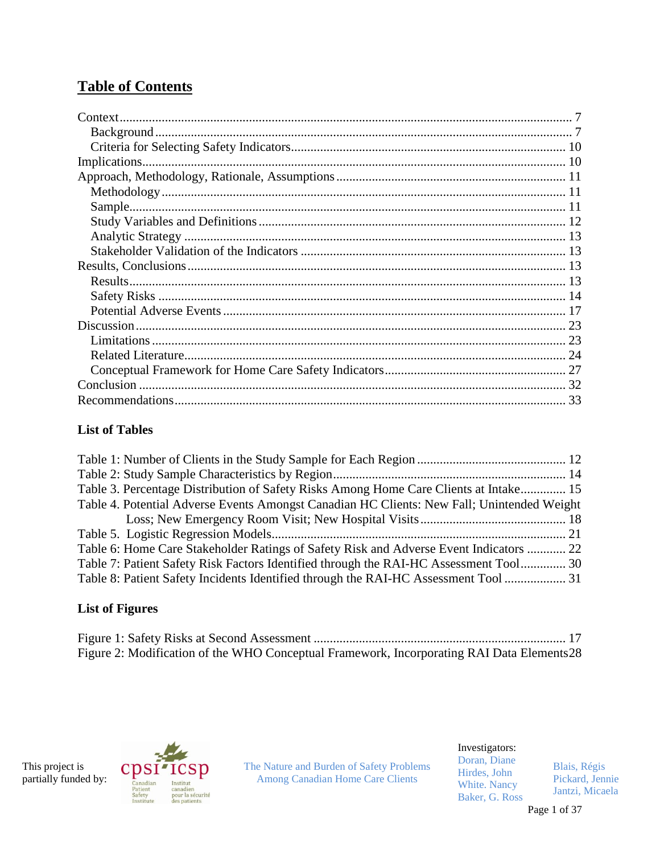# **Table of Contents**

## **List of Tables**

| Table 3. Percentage Distribution of Safety Risks Among Home Care Clients at Intake 15      |  |
|--------------------------------------------------------------------------------------------|--|
| Table 4. Potential Adverse Events Amongst Canadian HC Clients: New Fall; Unintended Weight |  |
|                                                                                            |  |
|                                                                                            |  |
| Table 6: Home Care Stakeholder Ratings of Safety Risk and Adverse Event Indicators  22     |  |
| Table 7: Patient Safety Risk Factors Identified through the RAI-HC Assessment Tool 30      |  |
| Table 8: Patient Safety Incidents Identified through the RAI-HC Assessment Tool  31        |  |

# **List of Figures**

| Figure 2: Modification of the WHO Conceptual Framework, Incorporating RAI Data Elements 28 |  |
|--------------------------------------------------------------------------------------------|--|





The Nature and Burden of Safety Problems Among Canadian Home Care Clients

Investigators:

Doran, Diane Hirdes, John White. Nancy Baker, G. Ross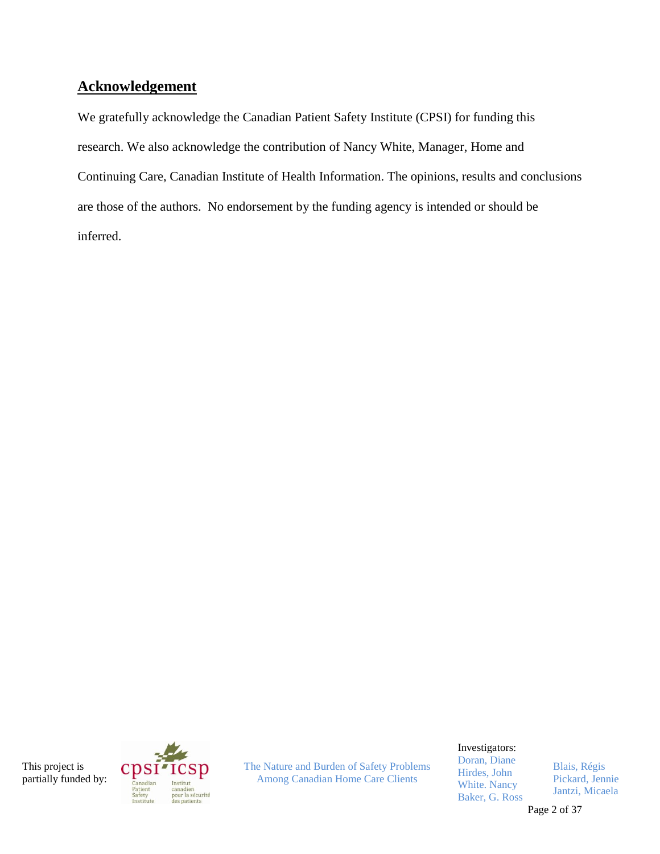# **Acknowledgement**

We gratefully acknowledge the Canadian Patient Safety Institute (CPSI) for funding this research. We also acknowledge the contribution of Nancy White, Manager, Home and Continuing Care, Canadian Institute of Health Information. The opinions, results and conclusions are those of the authors. No endorsement by the funding agency is intended or should be inferred.

This project is partially funded by:



The Nature and Burden of Safety Problems Among Canadian Home Care Clients

Investigators:

Doran, Diane Hirdes, John White. Nancy Baker, G. Ross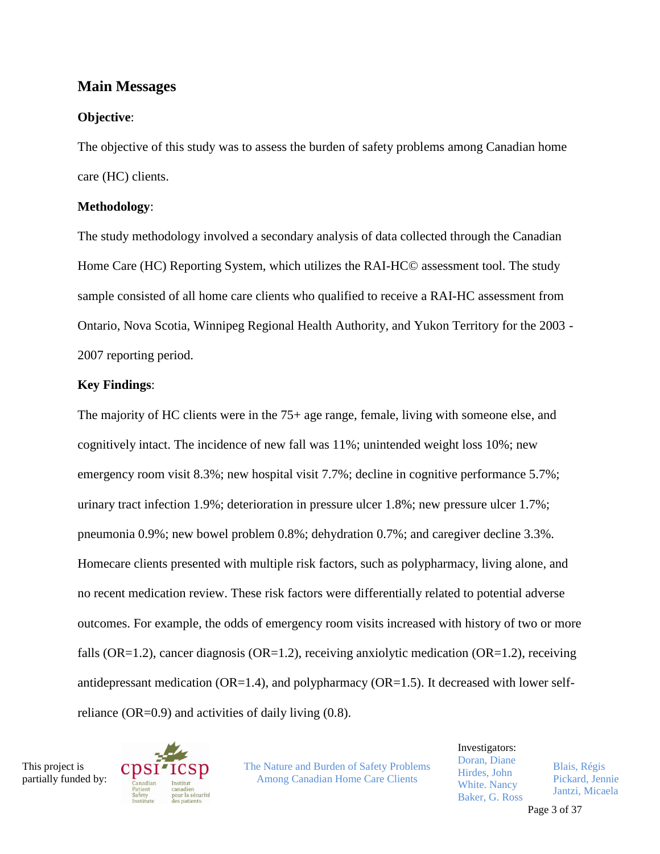## **Main Messages**

#### **Objective**:

The objective of this study was to assess the burden of safety problems among Canadian home care (HC) clients.

#### **Methodology**:

The study methodology involved a secondary analysis of data collected through the Canadian Home Care (HC) Reporting System, which utilizes the RAI-HC© assessment tool. The study sample consisted of all home care clients who qualified to receive a RAI-HC assessment from Ontario, Nova Scotia, Winnipeg Regional Health Authority, and Yukon Territory for the 2003 - 2007 reporting period.

#### **Key Findings**:

The majority of HC clients were in the 75+ age range, female, living with someone else, and cognitively intact. The incidence of new fall was 11%; unintended weight loss 10%; new emergency room visit 8.3%; new hospital visit 7.7%; decline in cognitive performance 5.7%; urinary tract infection 1.9%; deterioration in pressure ulcer 1.8%; new pressure ulcer 1.7%; pneumonia 0.9%; new bowel problem 0.8%; dehydration 0.7%; and caregiver decline 3.3%. Homecare clients presented with multiple risk factors, such as polypharmacy, living alone, and no recent medication review. These risk factors were differentially related to potential adverse outcomes. For example, the odds of emergency room visits increased with history of two or more falls (OR=1.2), cancer diagnosis (OR=1.2), receiving anxiolytic medication (OR=1.2), receiving antidepressant medication  $(OR=1.4)$ , and polypharmacy  $(OR=1.5)$ . It decreased with lower selfreliance (OR=0.9) and activities of daily living (0.8).

This project is partially funded by:



The Nature and Burden of Safety Problems Among Canadian Home Care Clients

Investigators: Doran, Diane Hirdes, John White. Nancy Baker, G. Ross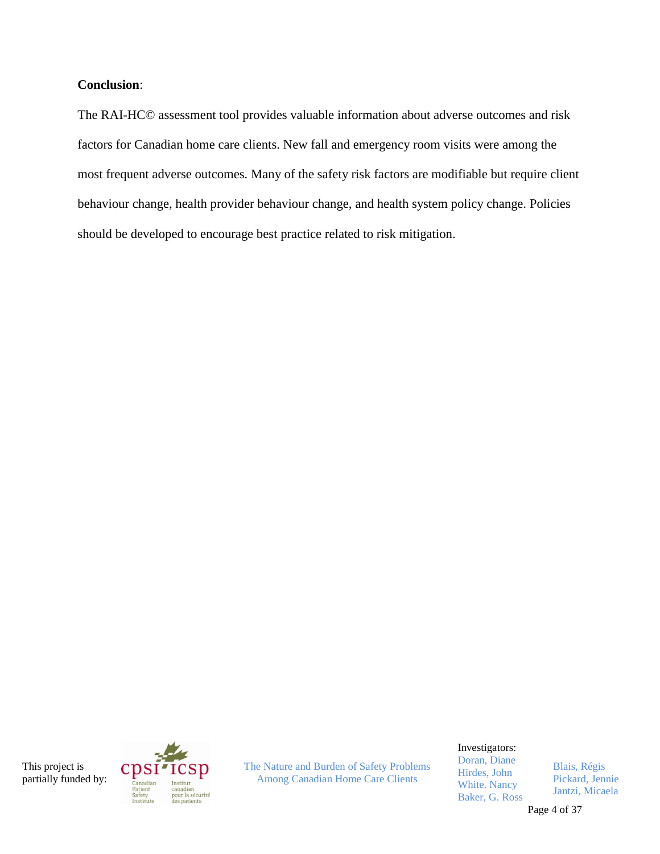#### **Conclusion**:

The RAI-HC© assessment tool provides valuable information about adverse outcomes and risk factors for Canadian home care clients. New fall and emergency room visits were among the most frequent adverse outcomes. Many of the safety risk factors are modifiable but require client behaviour change, health provider behaviour change, and health system policy change. Policies should be developed to encourage best practice related to risk mitigation.

This project is partially funded by:



The Nature and Burden of Safety Problems Among Canadian Home Care Clients

Investigators:

Doran, Diane Hirdes, John White. Nancy Baker, G. Ross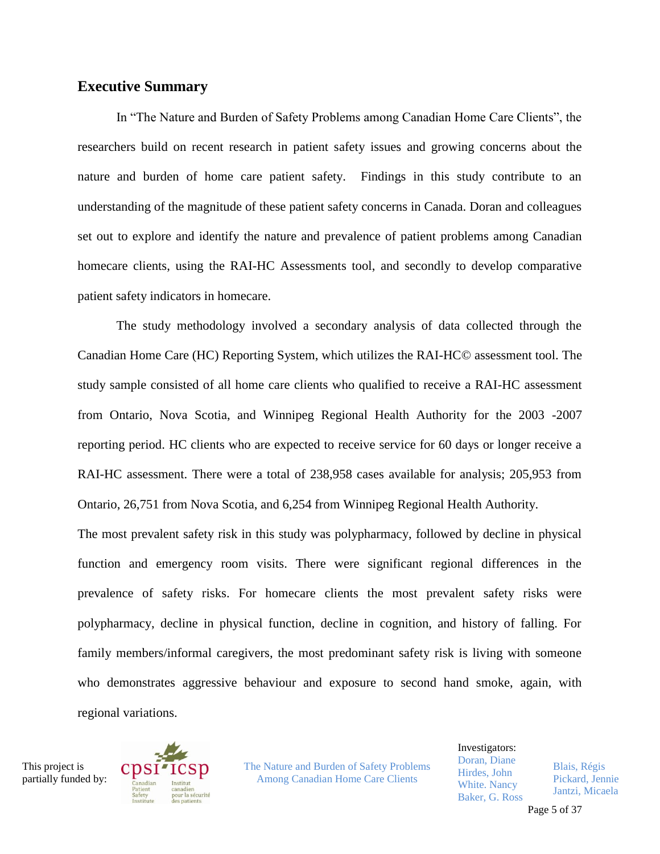#### **Executive Summary**

In "The Nature and Burden of Safety Problems among Canadian Home Care Clients", the researchers build on recent research in patient safety issues and growing concerns about the nature and burden of home care patient safety. Findings in this study contribute to an understanding of the magnitude of these patient safety concerns in Canada. Doran and colleagues set out to explore and identify the nature and prevalence of patient problems among Canadian homecare clients, using the RAI-HC Assessments tool, and secondly to develop comparative patient safety indicators in homecare.

The study methodology involved a secondary analysis of data collected through the Canadian Home Care (HC) Reporting System, which utilizes the RAI-HC© assessment tool. The study sample consisted of all home care clients who qualified to receive a RAI-HC assessment from Ontario, Nova Scotia, and Winnipeg Regional Health Authority for the 2003 -2007 reporting period. HC clients who are expected to receive service for 60 days or longer receive a RAI-HC assessment. There were a total of 238,958 cases available for analysis; 205,953 from Ontario, 26,751 from Nova Scotia, and 6,254 from Winnipeg Regional Health Authority.

The most prevalent safety risk in this study was polypharmacy, followed by decline in physical function and emergency room visits. There were significant regional differences in the prevalence of safety risks. For homecare clients the most prevalent safety risks were polypharmacy, decline in physical function, decline in cognition, and history of falling. For family members/informal caregivers, the most predominant safety risk is living with someone who demonstrates aggressive behaviour and exposure to second hand smoke, again, with regional variations.

This project is partially funded by:



The Nature and Burden of Safety Problems Among Canadian Home Care Clients

Investigators: Doran, Diane Hirdes, John White. Nancy Baker, G. Ross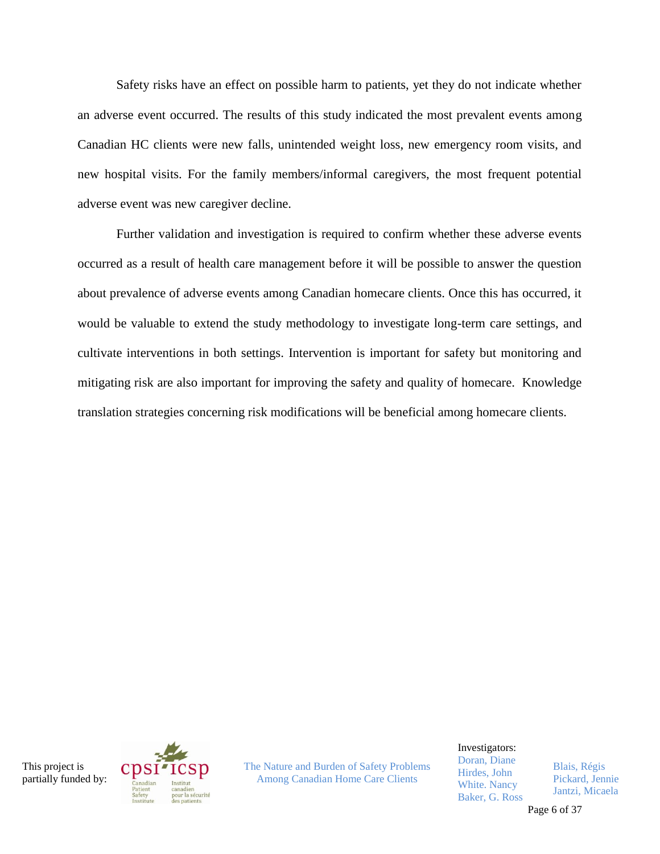Safety risks have an effect on possible harm to patients, yet they do not indicate whether an adverse event occurred. The results of this study indicated the most prevalent events among Canadian HC clients were new falls, unintended weight loss, new emergency room visits, and new hospital visits. For the family members/informal caregivers, the most frequent potential adverse event was new caregiver decline.

Further validation and investigation is required to confirm whether these adverse events occurred as a result of health care management before it will be possible to answer the question about prevalence of adverse events among Canadian homecare clients. Once this has occurred, it would be valuable to extend the study methodology to investigate long-term care settings, and cultivate interventions in both settings. Intervention is important for safety but monitoring and mitigating risk are also important for improving the safety and quality of homecare. Knowledge translation strategies concerning risk modifications will be beneficial among homecare clients.

This project is partially funded by:



The Nature and Burden of Safety Problems Among Canadian Home Care Clients

Investigators:

Doran, Diane Hirdes, John White. Nancy Baker, G. Ross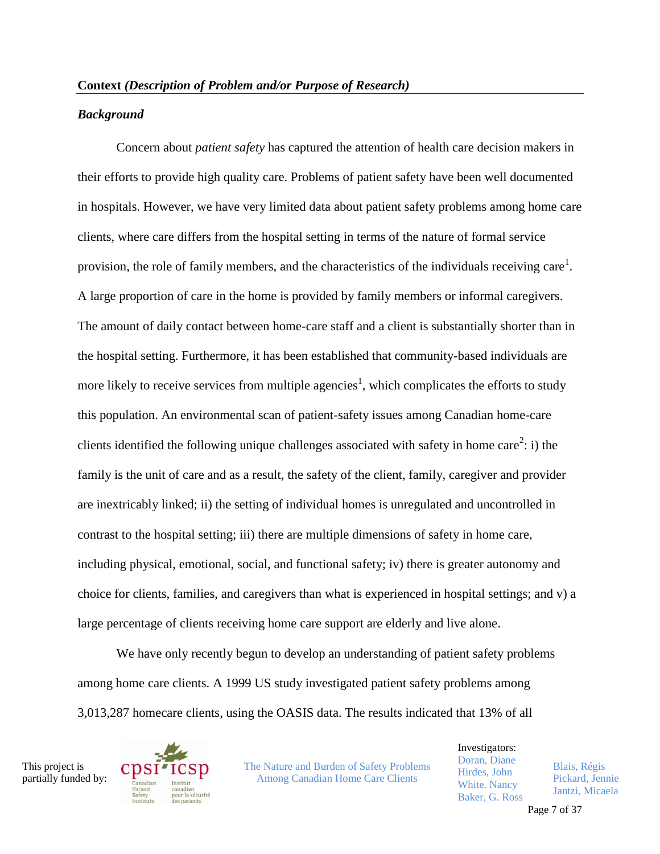#### *Background*

Concern about *patient safety* has captured the attention of health care decision makers in their efforts to provide high quality care. Problems of patient safety have been well documented in hospitals. However, we have very limited data about patient safety problems among home care clients, where care differs from the hospital setting in terms of the nature of formal service provision, the role of family members, and the characteristics of the individuals receiving care<sup>1</sup>. A large proportion of care in the home is provided by family members or informal caregivers. The amount of daily contact between home-care staff and a client is substantially shorter than in the hospital setting. Furthermore, it has been established that community-based individuals are more likely to receive services from multiple agencies<sup>1</sup>, which complicates the efforts to study this population. An environmental scan of patient-safety issues among Canadian home-care clients identified the following unique challenges associated with safety in home care<sup>2</sup>: i) the family is the unit of care and as a result, the safety of the client, family, caregiver and provider are inextricably linked; ii) the setting of individual homes is unregulated and uncontrolled in contrast to the hospital setting; iii) there are multiple dimensions of safety in home care, including physical, emotional, social, and functional safety; iv) there is greater autonomy and choice for clients, families, and caregivers than what is experienced in hospital settings; and v) a large percentage of clients receiving home care support are elderly and live alone.

We have only recently begun to develop an understanding of patient safety problems among home care clients. A 1999 US study investigated patient safety problems among 3,013,287 homecare clients, using the OASIS data. The results indicated that 13% of all

This project is partially funded by:



The Nature and Burden of Safety Problems Among Canadian Home Care Clients

Investigators: Doran, Diane Hirdes, John White. Nancy Baker, G. Ross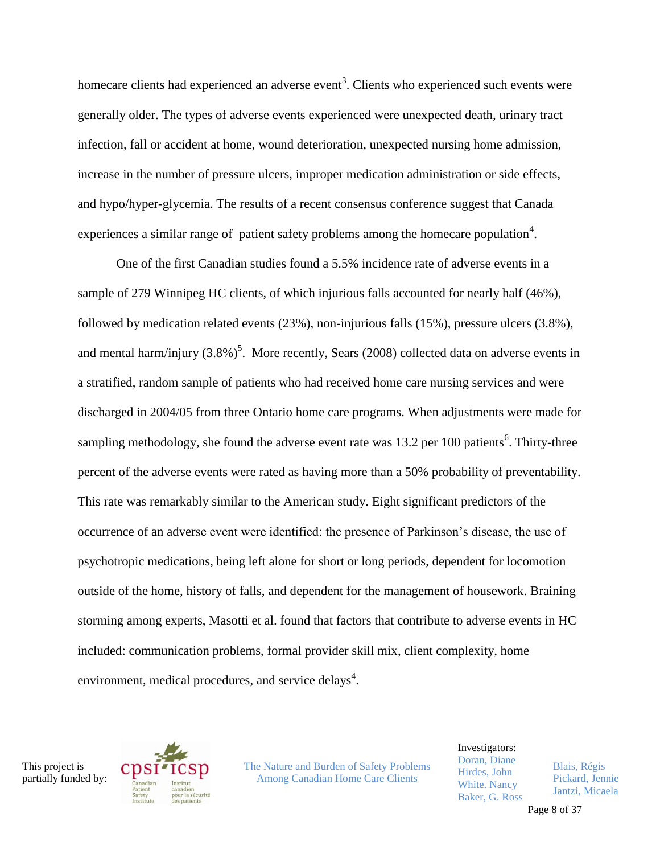homecare clients had experienced an adverse event<sup>3</sup>. Clients who experienced such events were generally older. The types of adverse events experienced were unexpected death, urinary tract infection, fall or accident at home, wound deterioration, unexpected nursing home admission, increase in the number of pressure ulcers, improper medication administration or side effects, and hypo/hyper-glycemia. The results of a recent consensus conference suggest that Canada experiences a similar range of patient safety problems among the homecare population<sup>4</sup>.

One of the first Canadian studies found a 5.5% incidence rate of adverse events in a sample of 279 Winnipeg HC clients, of which injurious falls accounted for nearly half (46%), followed by medication related events (23%), non-injurious falls (15%), pressure ulcers (3.8%), and mental harm/injury  $(3.8\%)^5$ . More recently, Sears (2008) collected data on adverse events in a stratified, random sample of patients who had received home care nursing services and were discharged in 2004/05 from three Ontario home care programs. When adjustments were made for sampling methodology, she found the adverse event rate was  $13.2$  per 100 patients<sup>6</sup>. Thirty-three percent of the adverse events were rated as having more than a 50% probability of preventability. This rate was remarkably similar to the American study. Eight significant predictors of the occurrence of an adverse event were identified: the presence of Parkinson's disease, the use of psychotropic medications, being left alone for short or long periods, dependent for locomotion outside of the home, history of falls, and dependent for the management of housework. Braining storming among experts, Masotti et al. found that factors that contribute to adverse events in HC included: communication problems, formal provider skill mix, client complexity, home environment, medical procedures, and service delays<sup>4</sup>.

This project is partially funded by:



The Nature and Burden of Safety Problems Among Canadian Home Care Clients

Investigators: Doran, Diane Hirdes, John White. Nancy Baker, G. Ross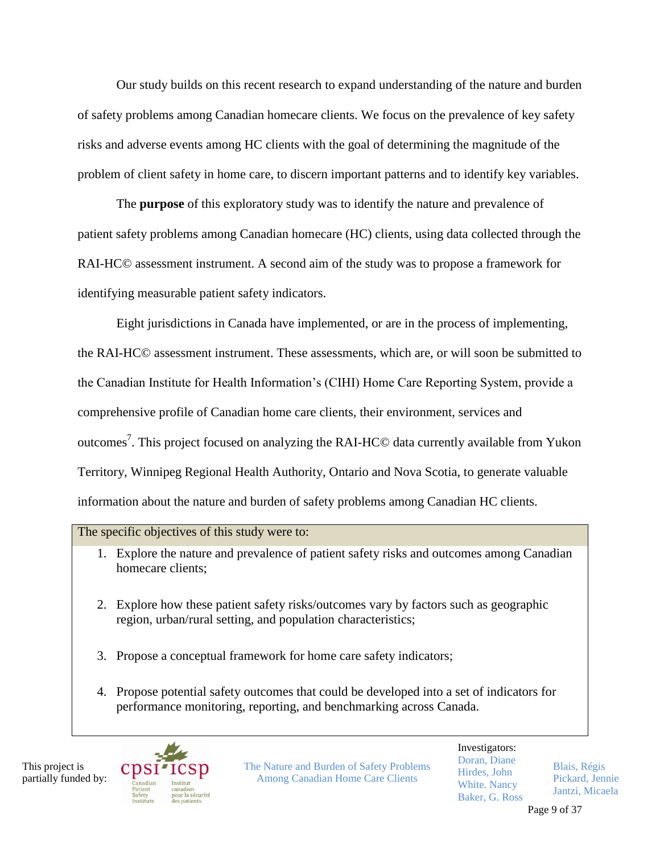Our study builds on this recent research to expand understanding of the nature and burden of safety problems among Canadian homecare clients. We focus on the prevalence of key safety risks and adverse events among HC clients with the goal of determining the magnitude of the problem of client safety in home care, to discern important patterns and to identify key variables.

The **purpose** of this exploratory study was to identify the nature and prevalence of patient safety problems among Canadian homecare (HC) clients, using data collected through the RAI-HC© assessment instrument. A second aim of the study was to propose a framework for identifying measurable patient safety indicators.

Eight jurisdictions in Canada have implemented, or are in the process of implementing, the RAI-HC© assessment instrument. These assessments, which are, or will soon be submitted to the Canadian Institute for Health Information's (CIHI) Home Care Reporting System, provide a comprehensive profile of Canadian home care clients, their environment, services and outcomes<sup>7</sup>. This project focused on analyzing the RAI-HC© data currently available from Yukon Territory, Winnipeg Regional Health Authority, Ontario and Nova Scotia, to generate valuable information about the nature and burden of safety problems among Canadian HC clients.

#### The specific objectives of this study were to:

- 1. Explore the nature and prevalence of patient safety risks and outcomes among Canadian homecare clients;
- 2. Explore how these patient safety risks/outcomes vary by factors such as geographic region, urban/rural setting, and population characteristics;
- 3. Propose a conceptual framework for home care safety indicators;
- 4. Propose potential safety outcomes that could be developed into a set of indicators for performance monitoring, reporting, and benchmarking across Canada.

This project is partially funded by:



The Nature and Burden of Safety Problems Among Canadian Home Care Clients

Investigators: Doran, Diane Hirdes, John White. Nancy Baker, G. Ross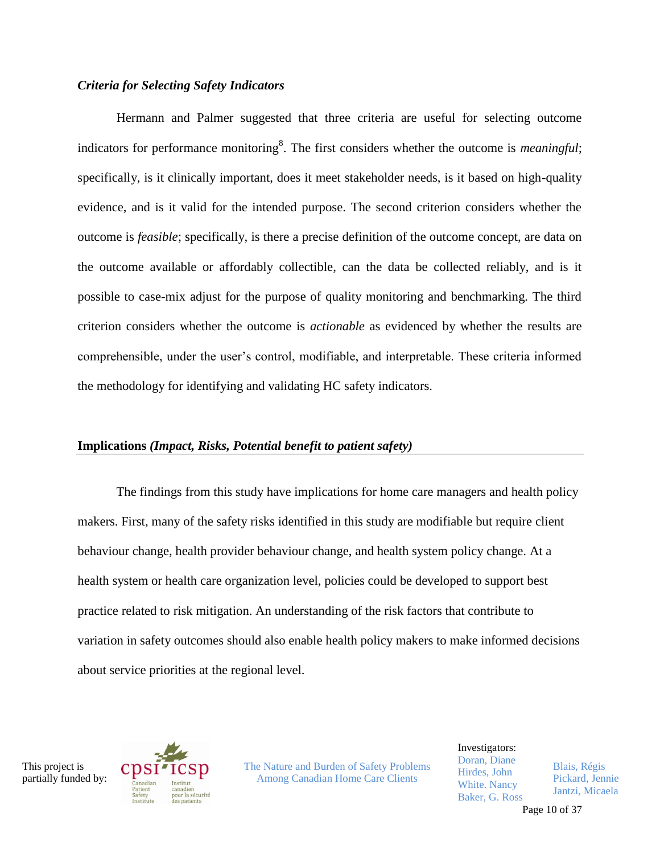#### *Criteria for Selecting Safety Indicators*

Hermann and Palmer suggested that three criteria are useful for selecting outcome indicators for performance monitoring<sup>8</sup>. The first considers whether the outcome is *meaningful*; specifically, is it clinically important, does it meet stakeholder needs, is it based on high-quality evidence, and is it valid for the intended purpose. The second criterion considers whether the outcome is *feasible*; specifically, is there a precise definition of the outcome concept, are data on the outcome available or affordably collectible, can the data be collected reliably, and is it possible to case-mix adjust for the purpose of quality monitoring and benchmarking. The third criterion considers whether the outcome is *actionable* as evidenced by whether the results are comprehensible, under the user's control, modifiable, and interpretable. These criteria informed the methodology for identifying and validating HC safety indicators.

#### **Implications** *(Impact, Risks, Potential benefit to patient safety)*

The findings from this study have implications for home care managers and health policy makers. First, many of the safety risks identified in this study are modifiable but require client behaviour change, health provider behaviour change, and health system policy change. At a health system or health care organization level, policies could be developed to support best practice related to risk mitigation. An understanding of the risk factors that contribute to variation in safety outcomes should also enable health policy makers to make informed decisions about service priorities at the regional level.

This project is partially funded by:



The Nature and Burden of Safety Problems Among Canadian Home Care Clients

Investigators: Doran, Diane Hirdes, John White. Nancy Baker, G. Ross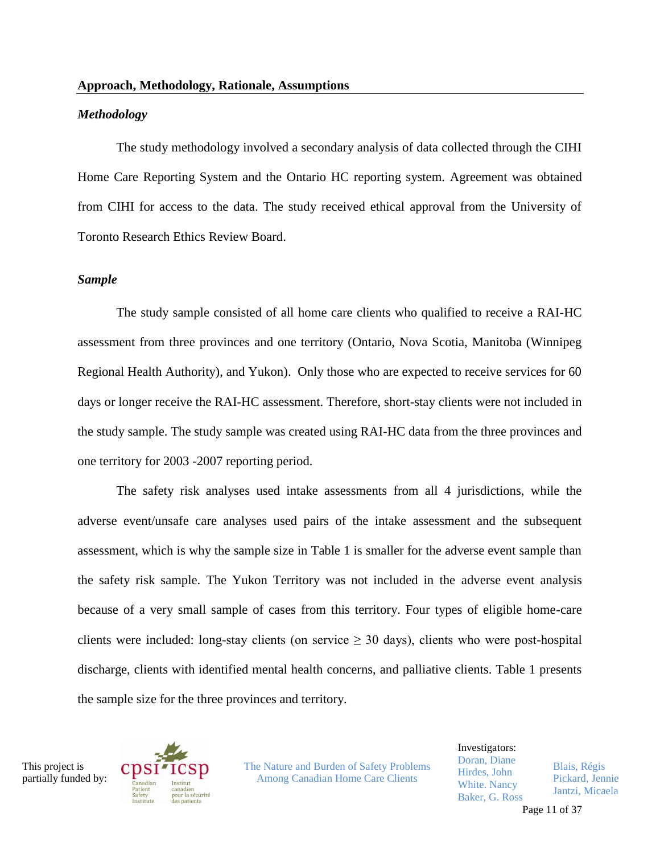#### *Methodology*

The study methodology involved a secondary analysis of data collected through the CIHI Home Care Reporting System and the Ontario HC reporting system. Agreement was obtained from CIHI for access to the data. The study received ethical approval from the University of Toronto Research Ethics Review Board.

#### *Sample*

The study sample consisted of all home care clients who qualified to receive a RAI-HC assessment from three provinces and one territory (Ontario, Nova Scotia, Manitoba (Winnipeg Regional Health Authority), and Yukon). Only those who are expected to receive services for 60 days or longer receive the RAI-HC assessment. Therefore, short-stay clients were not included in the study sample. The study sample was created using RAI-HC data from the three provinces and one territory for 2003 -2007 reporting period.

The safety risk analyses used intake assessments from all 4 jurisdictions, while the adverse event/unsafe care analyses used pairs of the intake assessment and the subsequent assessment, which is why the sample size in Table 1 is smaller for the adverse event sample than the safety risk sample. The Yukon Territory was not included in the adverse event analysis because of a very small sample of cases from this territory. Four types of eligible home-care clients were included: long-stay clients (on service  $\geq$  30 days), clients who were post-hospital discharge, clients with identified mental health concerns, and palliative clients. Table 1 presents the sample size for the three provinces and territory.

This project is partially funded by:



The Nature and Burden of Safety Problems Among Canadian Home Care Clients

Investigators: Doran, Diane Hirdes, John White. Nancy Baker, G. Ross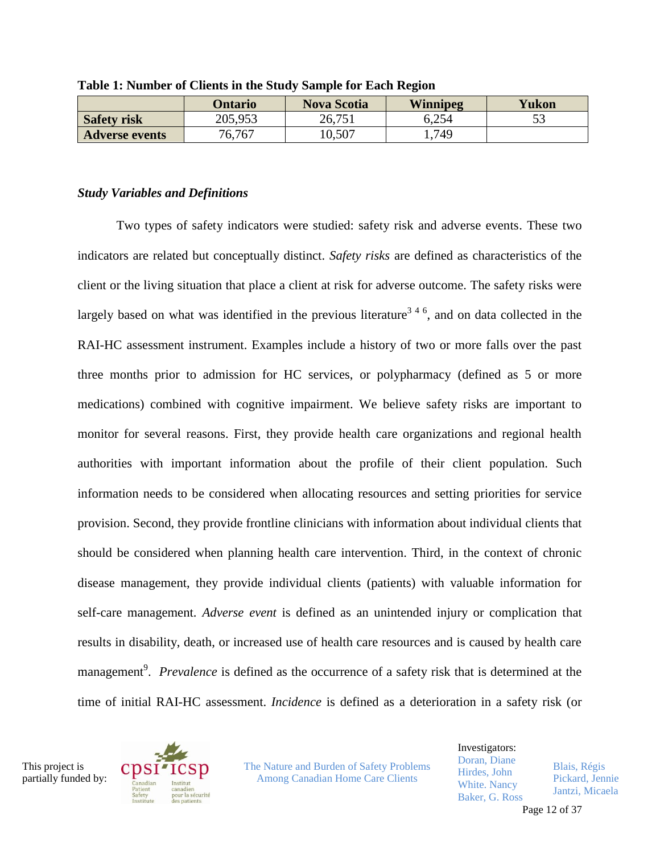|                       | Ontario | <b>Nova Scotia</b> | Winnipeg | Yukon    |
|-----------------------|---------|--------------------|----------|----------|
| <b>Safety risk</b>    | 205,953 | 26,751             | 6,254    | دی<br>IJ |
| <b>Adverse events</b> | 76,767  | 10.507             | ,749     |          |

**Table 1: Number of Clients in the Study Sample for Each Region**

#### *Study Variables and Definitions*

Two types of safety indicators were studied: safety risk and adverse events. These two indicators are related but conceptually distinct. *Safety risks* are defined as characteristics of the client or the living situation that place a client at risk for adverse outcome. The safety risks were largely based on what was identified in the previous literature<sup>346</sup>, and on data collected in the RAI-HC assessment instrument. Examples include a history of two or more falls over the past three months prior to admission for HC services, or polypharmacy (defined as 5 or more medications) combined with cognitive impairment. We believe safety risks are important to monitor for several reasons. First, they provide health care organizations and regional health authorities with important information about the profile of their client population. Such information needs to be considered when allocating resources and setting priorities for service provision. Second, they provide frontline clinicians with information about individual clients that should be considered when planning health care intervention. Third, in the context of chronic disease management, they provide individual clients (patients) with valuable information for self-care management. *Adverse event* is defined as an unintended injury or complication that results in disability, death, or increased use of health care resources and is caused by health care management<sup>9</sup>. *Prevalence* is defined as the occurrence of a safety risk that is determined at the time of initial RAI-HC assessment. *Incidence* is defined as a deterioration in a safety risk (or

This project is partially funded by:



The Nature and Burden of Safety Problems Among Canadian Home Care Clients

Investigators: Doran, Diane Hirdes, John White. Nancy Baker, G. Ross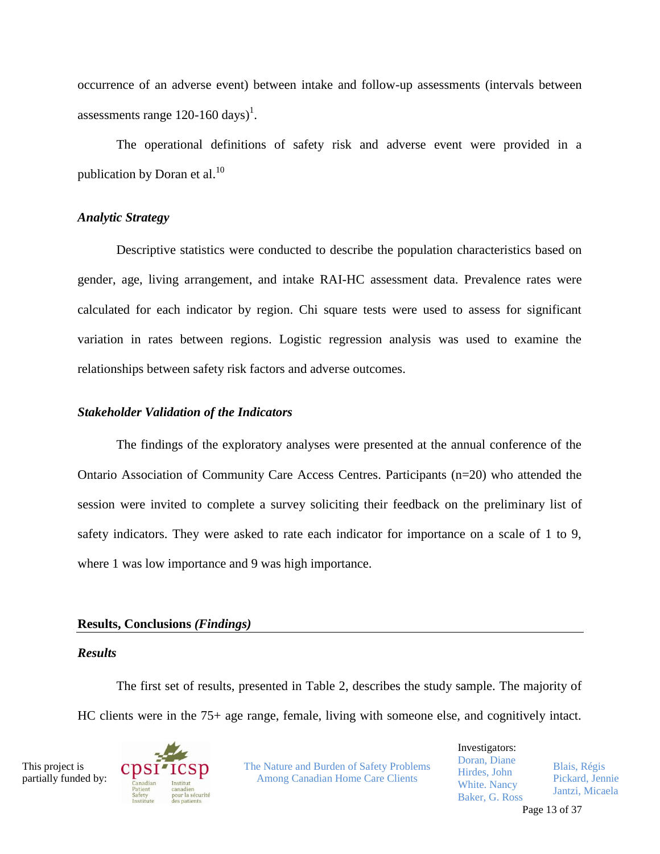occurrence of an adverse event) between intake and follow-up assessments (intervals between assessments range  $120-160 \text{ days}$ <sup>1</sup>.

The operational definitions of safety risk and adverse event were provided in a publication by Doran et al. $^{10}$ 

#### *Analytic Strategy*

Descriptive statistics were conducted to describe the population characteristics based on gender, age, living arrangement, and intake RAI-HC assessment data. Prevalence rates were calculated for each indicator by region. Chi square tests were used to assess for significant variation in rates between regions. Logistic regression analysis was used to examine the relationships between safety risk factors and adverse outcomes.

#### *Stakeholder Validation of the Indicators*

The findings of the exploratory analyses were presented at the annual conference of the Ontario Association of Community Care Access Centres. Participants (n=20) who attended the session were invited to complete a survey soliciting their feedback on the preliminary list of safety indicators. They were asked to rate each indicator for importance on a scale of 1 to 9, where 1 was low importance and 9 was high importance.

## **Results, Conclusions** *(Findings)*

#### *Results*

The first set of results, presented in Table 2, describes the study sample. The majority of HC clients were in the 75+ age range, female, living with someone else, and cognitively intact.

This project is partially funded by:



The Nature and Burden of Safety Problems Among Canadian Home Care Clients

Investigators: Doran, Diane Hirdes, John White. Nancy Baker, G. Ross Blais, Régis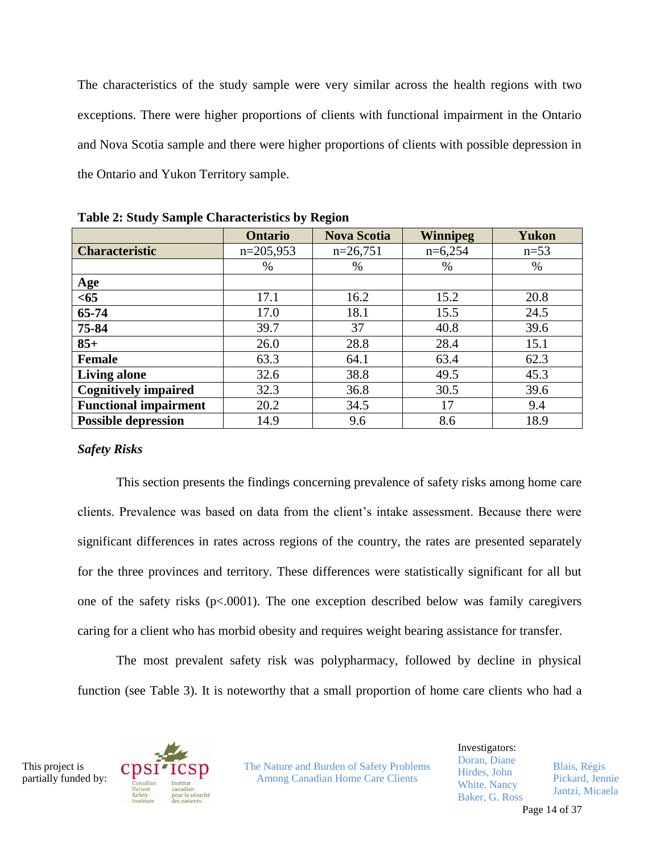The characteristics of the study sample were very similar across the health regions with two exceptions. There were higher proportions of clients with functional impairment in the Ontario and Nova Scotia sample and there were higher proportions of clients with possible depression in the Ontario and Yukon Territory sample.

|                              | <b>Ontario</b> | <b>Nova Scotia</b> | <b>Winnipeg</b> | <b>Yukon</b> |
|------------------------------|----------------|--------------------|-----------------|--------------|
|                              |                |                    |                 |              |
| <b>Characteristic</b>        | $n=205,953$    | $n=26,751$         | $n=6,254$       | $n=53$       |
|                              | $\%$           | $\%$               | $\%$            | $\%$         |
| <u>Age</u>                   |                |                    |                 |              |
| $65$                         | 17.1           | 16.2               | 15.2            | 20.8         |
| 65-74                        | 17.0           | 18.1               | 15.5            | 24.5         |
| 75-84                        | 39.7           | 37                 | 40.8            | 39.6         |
| $85+$                        | 26.0           | 28.8               | 28.4            | 15.1         |
| <b>Female</b>                | 63.3           | 64.1               | 63.4            | 62.3         |
| <b>Living alone</b>          | 32.6           | 38.8               | 49.5            | 45.3         |
| <b>Cognitively impaired</b>  | 32.3           | 36.8               | 30.5            | 39.6         |
| <b>Functional impairment</b> | 20.2           | 34.5               | 17              | 9.4          |
| <b>Possible depression</b>   | 14.9           | 9.6                | 8.6             | 18.9         |

**Table 2: Study Sample Characteristics by Region**

#### *Safety Risks*

This section presents the findings concerning prevalence of safety risks among home care clients. Prevalence was based on data from the client's intake assessment. Because there were significant differences in rates across regions of the country, the rates are presented separately for the three provinces and territory. These differences were statistically significant for all but one of the safety risks  $(p<.0001)$ . The one exception described below was family caregivers caring for a client who has morbid obesity and requires weight bearing assistance for transfer.

The most prevalent safety risk was polypharmacy, followed by decline in physical function (see Table 3). It is noteworthy that a small proportion of home care clients who had a

This project is partially funded by:



The Nature and Burden of Safety Problems Among Canadian Home Care Clients

Investigators: Doran, Diane Hirdes, John White. Nancy Baker, G. Ross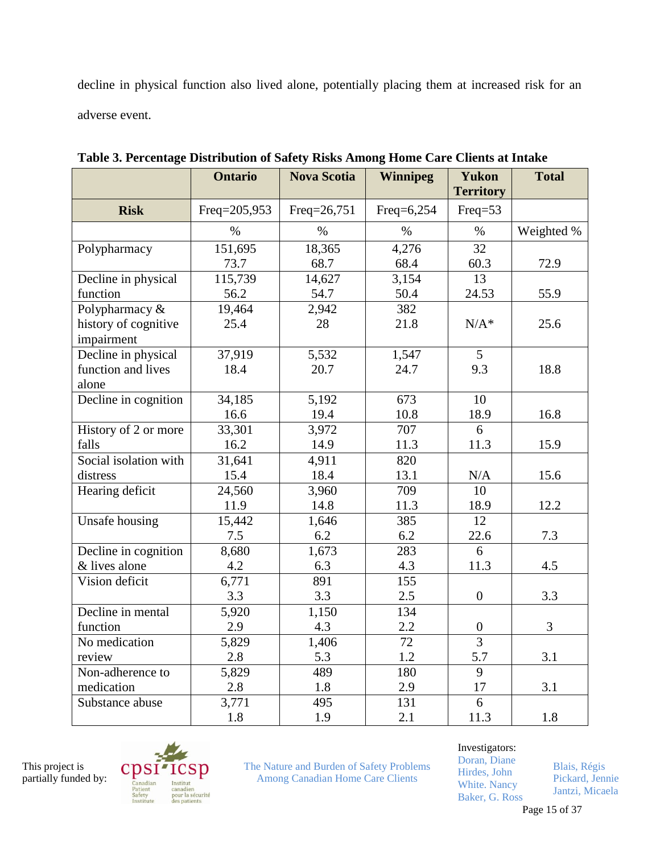decline in physical function also lived alone, potentially placing them at increased risk for an adverse event.

|                              | <b>Ontario</b> | <b>Nova Scotia</b> | <b>Winnipeg</b> | <b>Yukon</b><br><b>Territory</b> | <b>Total</b> |
|------------------------------|----------------|--------------------|-----------------|----------------------------------|--------------|
| <b>Risk</b>                  | Freq=205,953   | Freq=26,751        | Freq=6,254      | $Freq=53$                        |              |
|                              | $\%$           | $\%$               | $\%$            | $\%$                             | Weighted %   |
| Polypharmacy                 | 151,695        | 18,365             | 4,276           | 32                               |              |
|                              | 73.7           | 68.7               | 68.4            | 60.3                             | 72.9         |
| Decline in physical          | 115,739        | 14,627             | 3,154           | 13                               |              |
| function                     | 56.2           | 54.7               | 50.4            | 24.53                            | 55.9         |
| Polypharmacy $\overline{\&}$ | 19,464         | 2,942              | 382             |                                  |              |
| history of cognitive         | 25.4           | 28                 | 21.8            | $N/A^*$                          | 25.6         |
| impairment                   |                |                    |                 |                                  |              |
| Decline in physical          | 37,919         | 5,532              | 1,547           | 5                                |              |
| function and lives           | 18.4           | 20.7               | 24.7            | 9.3                              | 18.8         |
| alone                        |                |                    |                 |                                  |              |
| Decline in cognition         | 34,185         | 5,192              | 673             | 10                               |              |
|                              | 16.6           | 19.4               | 10.8            | 18.9                             | 16.8         |
| History of 2 or more         | 33,301         | 3,972              | 707             | 6                                |              |
| falls                        | 16.2           | 14.9               | 11.3            | 11.3                             | 15.9         |
| Social isolation with        | 31,641         | 4,911              | 820             |                                  |              |
| distress                     | 15.4           | 18.4               | 13.1            | N/A                              | 15.6         |
| Hearing deficit              | 24,560         | 3,960              | 709             | 10                               |              |
|                              | 11.9           | 14.8               | 11.3            | 18.9                             | 12.2         |
| Unsafe housing               | 15,442         | 1,646              | 385             | 12                               |              |
|                              | 7.5            | 6.2                | 6.2             | 22.6                             | 7.3          |
| Decline in cognition         | 8,680          | 1,673              | 283             | 6                                |              |
| & lives alone                | 4.2            | 6.3                | 4.3             | 11.3                             | 4.5          |
| Vision deficit               | 6,771          | 891                | 155             |                                  |              |
|                              | 3.3            | 3.3                | 2.5             | $\overline{0}$                   | 3.3          |
| Decline in mental            | 5,920          | 1,150              | 134             |                                  |              |
| function                     | 2.9            | 4.3                | 2.2             | $\boldsymbol{0}$                 | 3            |
| No medication                | 5,829          | 1,406              | 72              | $\overline{3}$                   |              |
| review                       | 2.8            | 5.3                | 1.2             | 5.7                              | 3.1          |
| Non-adherence to             | 5,829          | 489                | 180             | 9                                |              |
| medication                   | 2.8            | 1.8                | 2.9             | 17                               | 3.1          |
| Substance abuse              | 3,771          | 495                | 131             | 6                                |              |
|                              | 1.8            | 1.9                | 2.1             | 11.3                             | 1.8          |

**Table 3. Percentage Distribution of Safety Risks Among Home Care Clients at Intake**



The Nature and Burden of Safety Problems Among Canadian Home Care Clients

# Investigators:

Doran, Diane Hirdes, John White. Nancy Baker, G. Ross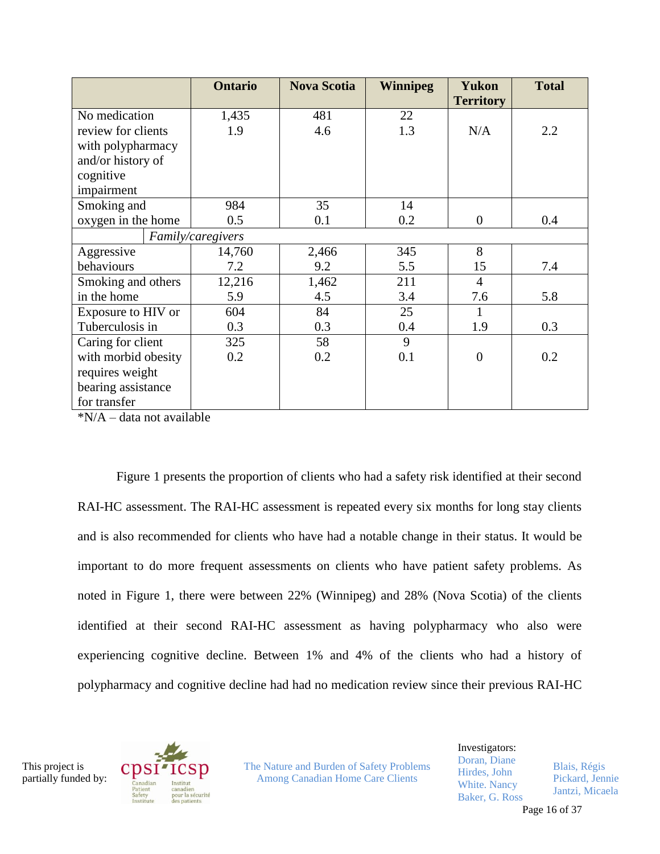|                                        | <b>Ontario</b>    | <b>Nova Scotia</b> | <b>Winnipeg</b> | <b>Yukon</b><br><b>Territory</b> | <b>Total</b> |
|----------------------------------------|-------------------|--------------------|-----------------|----------------------------------|--------------|
| No medication                          | 1,435             | 481                | 22              |                                  |              |
| review for clients                     | 1.9               | 4.6                | 1.3             | N/A                              | 2.2          |
| with polypharmacy                      |                   |                    |                 |                                  |              |
| and/or history of                      |                   |                    |                 |                                  |              |
| cognitive                              |                   |                    |                 |                                  |              |
| impairment                             |                   |                    |                 |                                  |              |
| Smoking and                            | 984               | 35                 | 14              |                                  |              |
| oxygen in the home                     | 0.5               | 0.1                | 0.2             | $\theta$                         | 0.4          |
|                                        | Family/caregivers |                    |                 |                                  |              |
| Aggressive                             | 14,760            | 2,466              | 345             | 8                                |              |
| behaviours                             | 7.2               | 9.2                | 5.5             | 15                               | 7.4          |
| Smoking and others                     | 12,216            | 1,462              | 211             | $\overline{4}$                   |              |
| in the home                            | 5.9               | 4.5                | 3.4             | 7.6                              | 5.8          |
| Exposure to HIV or                     | 604               | 84                 | 25              |                                  |              |
| Tuberculosis in                        | 0.3               | 0.3                | 0.4             | 1.9                              | 0.3          |
| Caring for client                      | 325               | 58                 | 9               |                                  |              |
| with morbid obesity                    | 0.2               | 0.2                | 0.1             | $\overline{0}$                   | 0.2          |
| requires weight                        |                   |                    |                 |                                  |              |
| bearing assistance                     |                   |                    |                 |                                  |              |
| for transfer<br>$J_2$ <b>N</b> $T / A$ | 11.11             |                    |                 |                                  |              |

\*N/A – data not available

Figure 1 presents the proportion of clients who had a safety risk identified at their second RAI-HC assessment. The RAI-HC assessment is repeated every six months for long stay clients and is also recommended for clients who have had a notable change in their status. It would be important to do more frequent assessments on clients who have patient safety problems. As noted in Figure 1, there were between 22% (Winnipeg) and 28% (Nova Scotia) of the clients identified at their second RAI-HC assessment as having polypharmacy who also were experiencing cognitive decline. Between 1% and 4% of the clients who had a history of polypharmacy and cognitive decline had had no medication review since their previous RAI-HC

This project is partially funded by:



The Nature and Burden of Safety Problems Among Canadian Home Care Clients

Investigators: Doran, Diane Hirdes, John White. Nancy Baker, G. Ross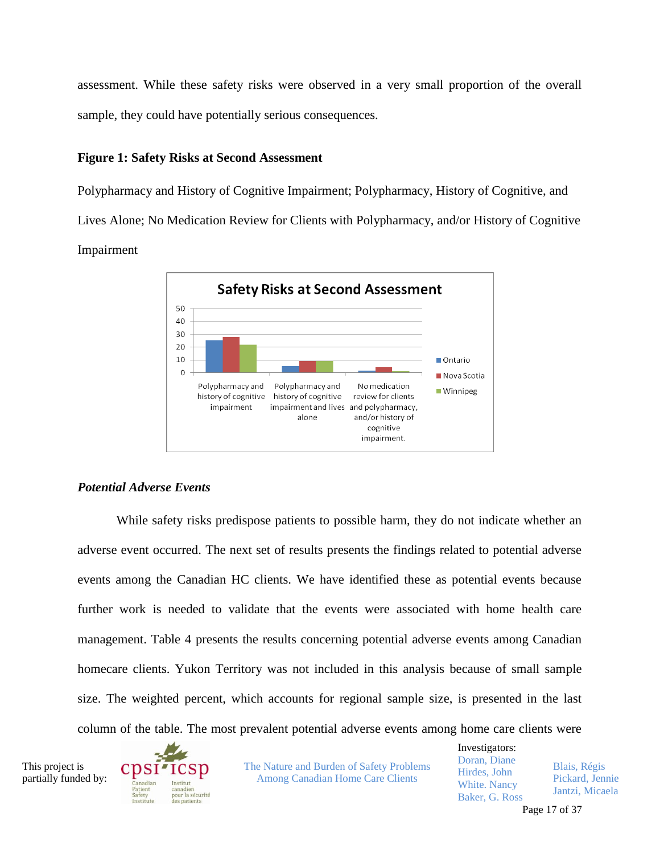assessment. While these safety risks were observed in a very small proportion of the overall sample, they could have potentially serious consequences.

#### **Figure 1: Safety Risks at Second Assessment**

Polypharmacy and History of Cognitive Impairment; Polypharmacy, History of Cognitive, and Lives Alone; No Medication Review for Clients with Polypharmacy, and/or History of Cognitive Impairment

<span id="page-17-0"></span>

#### *Potential Adverse Events*

While safety risks predispose patients to possible harm, they do not indicate whether an adverse event occurred. The next set of results presents the findings related to potential adverse events among the Canadian HC clients. We have identified these as potential events because further work is needed to validate that the events were associated with home health care management. Table 4 presents the results concerning potential adverse events among Canadian homecare clients. Yukon Territory was not included in this analysis because of small sample size. The weighted percent, which accounts for regional sample size, is presented in the last column of the table. The most prevalent potential adverse events among home care clients were

This project is partially funded by:



The Nature and Burden of Safety Problems Among Canadian Home Care Clients

Investigators: Doran, Diane Hirdes, John White. Nancy Baker, G. Ross Blais, Régis Pickard, Jennie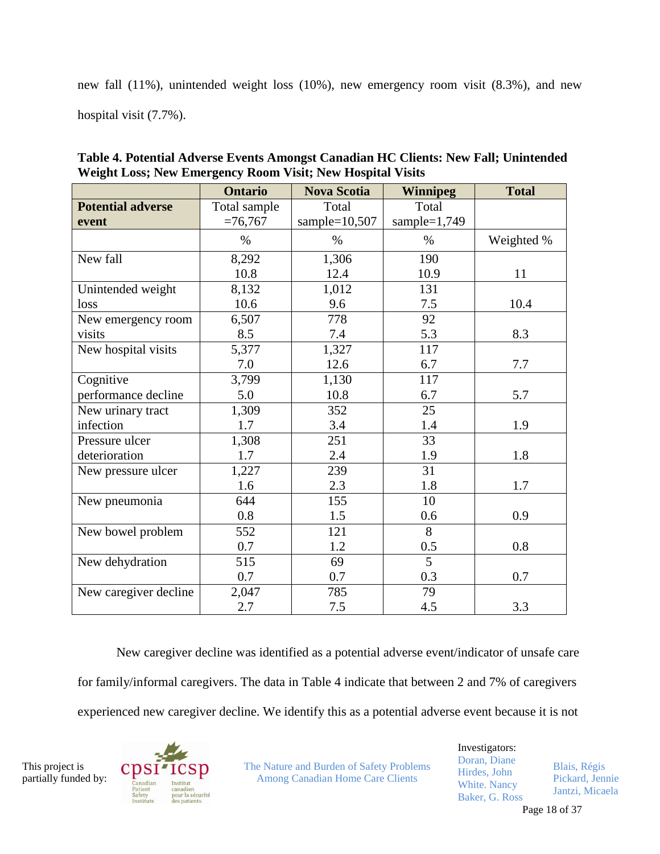new fall (11%), unintended weight loss (10%), new emergency room visit (8.3%), and new hospital visit (7.7%).

|                          | <b>Ontario</b> | <b>Nova Scotia</b> | <b>Winnipeg</b> | <b>Total</b> |
|--------------------------|----------------|--------------------|-----------------|--------------|
| <b>Potential adverse</b> | Total sample   | Total              | Total           |              |
| event                    | $=76,767$      | sample= $10,507$   | sample= $1,749$ |              |
|                          | $\%$           | $\%$               | $\%$            | Weighted %   |
| New fall                 | 8,292          | 1,306              | 190             |              |
|                          | 10.8           | 12.4               | 10.9            | 11           |
| Unintended weight        | 8,132          | 1,012              | 131             |              |
| loss                     | 10.6           | 9.6                | 7.5             | 10.4         |
| New emergency room       | 6,507          | 778                | 92              |              |
| visits                   | 8.5            | 7.4                | 5.3             | 8.3          |
| New hospital visits      | 5,377          | 1,327              | 117             |              |
|                          | 7.0            | 12.6               | 6.7             | 7.7          |
| Cognitive                | 3,799          | 1,130              | 117             |              |
| performance decline      | 5.0            | 10.8               | 6.7             | 5.7          |
| New urinary tract        | 1,309          | 352                | 25              |              |
| infection                | 1.7            | 3.4                | 1.4             | 1.9          |
| Pressure ulcer           | 1,308          | 251                | 33              |              |
| deterioration            | 1.7            | 2.4                | 1.9             | 1.8          |
| New pressure ulcer       | 1,227          | 239                | $\overline{31}$ |              |
|                          | 1.6            | 2.3                | 1.8             | 1.7          |
| New pneumonia            | 644            | 155                | 10              |              |
|                          | 0.8            | 1.5                | 0.6             | 0.9          |
| New bowel problem        | 552            | 121                | 8               |              |
|                          | 0.7            | 1.2                | 0.5             | 0.8          |
| New dehydration          | 515            | 69                 | $\overline{5}$  |              |
|                          | 0.7            | 0.7                | 0.3             | 0.7          |
| New caregiver decline    | 2,047          | 785                | 79              |              |
|                          | 2.7            | 7.5                | 4.5             | 3.3          |

**Table 4. Potential Adverse Events Amongst Canadian HC Clients: New Fall; Unintended Weight Loss; New Emergency Room Visit; New Hospital Visits**

New caregiver decline was identified as a potential adverse event/indicator of unsafe care for family/informal caregivers. The data in Table 4 indicate that between 2 and 7% of caregivers experienced new caregiver decline. We identify this as a potential adverse event because it is not

This project is partially funded by:



The Nature and Burden of Safety Problems Among Canadian Home Care Clients

Investigators: Doran, Diane Hirdes, John White. Nancy Baker, G. Ross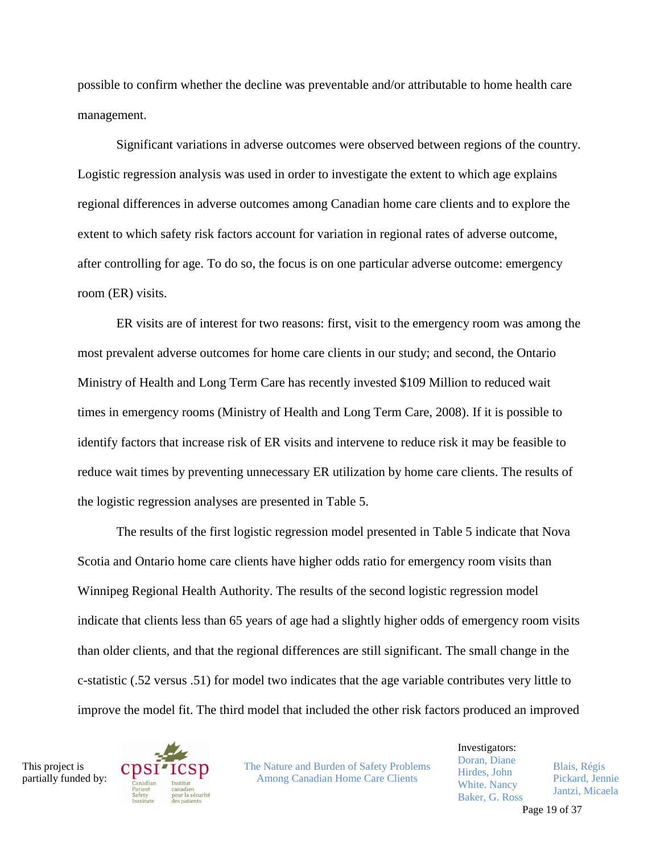possible to confirm whether the decline was preventable and/or attributable to home health care management.

Significant variations in adverse outcomes were observed between regions of the country. Logistic regression analysis was used in order to investigate the extent to which age explains regional differences in adverse outcomes among Canadian home care clients and to explore the extent to which safety risk factors account for variation in regional rates of adverse outcome, after controlling for age. To do so, the focus is on one particular adverse outcome: emergency room (ER) visits.

ER visits are of interest for two reasons: first, visit to the emergency room was among the most prevalent adverse outcomes for home care clients in our study; and second, the Ontario Ministry of Health and Long Term Care has recently invested \$109 Million to reduced wait times in emergency rooms (Ministry of Health and Long Term Care, 2008). If it is possible to identify factors that increase risk of ER visits and intervene to reduce risk it may be feasible to reduce wait times by preventing unnecessary ER utilization by home care clients. The results of the logistic regression analyses are presented in Table 5.

The results of the first logistic regression model presented in Table 5 indicate that Nova Scotia and Ontario home care clients have higher odds ratio for emergency room visits than Winnipeg Regional Health Authority. The results of the second logistic regression model indicate that clients less than 65 years of age had a slightly higher odds of emergency room visits than older clients, and that the regional differences are still significant. The small change in the c-statistic (.52 versus .51) for model two indicates that the age variable contributes very little to improve the model fit. The third model that included the other risk factors produced an improved

This project is partially funded by:



The Nature and Burden of Safety Problems Among Canadian Home Care Clients

Investigators: Doran, Diane Hirdes, John White. Nancy Baker, G. Ross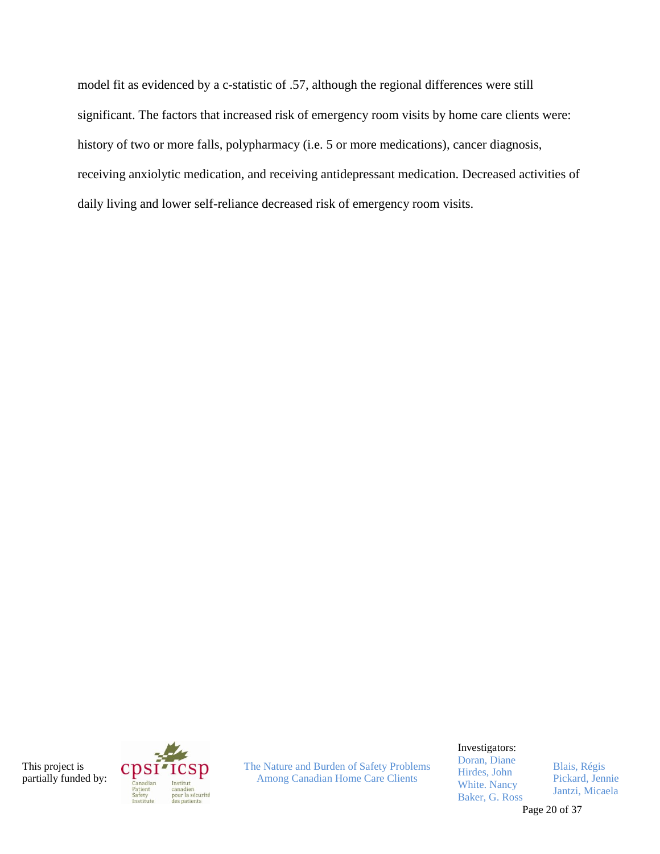model fit as evidenced by a c-statistic of .57, although the regional differences were still significant. The factors that increased risk of emergency room visits by home care clients were: history of two or more falls, polypharmacy (i.e. 5 or more medications), cancer diagnosis, receiving anxiolytic medication, and receiving antidepressant medication. Decreased activities of daily living and lower self-reliance decreased risk of emergency room visits.

This project is partially funded by:



The Nature and Burden of Safety Problems Among Canadian Home Care Clients

Investigators:

Doran, Diane Hirdes, John White. Nancy Baker, G. Ross

Blais, Régis Pickard, Jennie Jantzi, Micaela

Page 20 of 37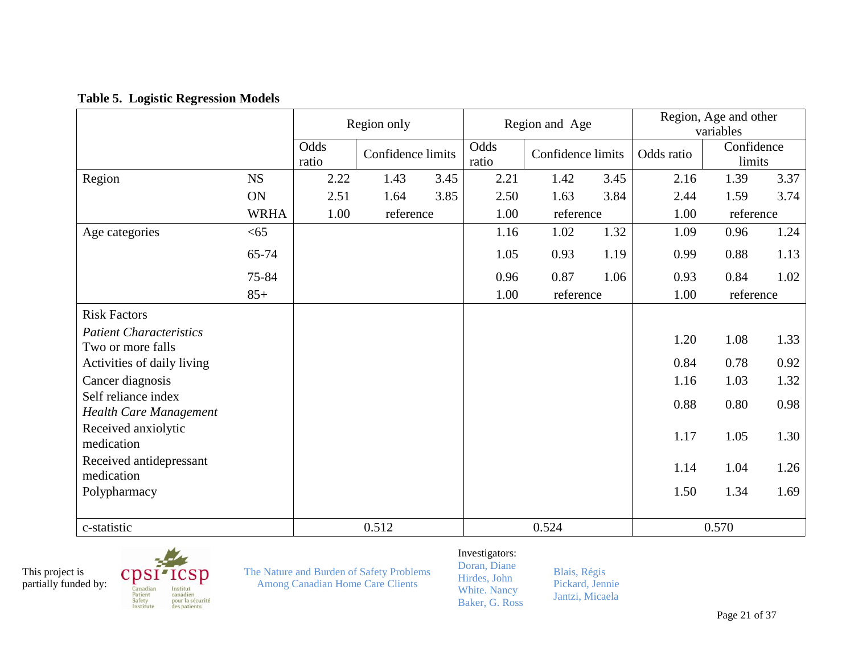### **Table 5. Logistic Regression Models**

|                                                      |             | Region only   |                   |      | Region and Age |                   |      | Region, Age and other<br>variables |                      |      |
|------------------------------------------------------|-------------|---------------|-------------------|------|----------------|-------------------|------|------------------------------------|----------------------|------|
|                                                      |             | Odds<br>ratio | Confidence limits |      | Odds<br>ratio  | Confidence limits |      | Odds ratio                         | Confidence<br>limits |      |
| Region                                               | <b>NS</b>   | 2.22          | 1.43              | 3.45 | 2.21           | 1.42              | 3.45 | 2.16                               | 1.39                 | 3.37 |
|                                                      | ON          | 2.51          | 1.64              | 3.85 | 2.50           | 1.63              | 3.84 | 2.44                               | 1.59                 | 3.74 |
|                                                      | <b>WRHA</b> | 1.00          | reference         |      | 1.00           | reference         |      | 1.00                               | reference            |      |
| Age categories                                       | < 65        |               |                   |      | 1.16           | 1.02              | 1.32 | 1.09                               | 0.96                 | 1.24 |
|                                                      | 65-74       |               |                   |      | 1.05           | 0.93              | 1.19 | 0.99                               | 0.88                 | 1.13 |
|                                                      | 75-84       |               |                   |      | 0.96           | 0.87              | 1.06 | 0.93                               | 0.84                 | 1.02 |
|                                                      | $85+$       |               |                   |      | 1.00           | reference         |      | 1.00                               | reference            |      |
| <b>Risk Factors</b>                                  |             |               |                   |      |                |                   |      |                                    |                      |      |
| <b>Patient Characteristics</b>                       |             |               |                   |      |                |                   |      | 1.20                               | 1.08                 | 1.33 |
| Two or more falls                                    |             |               |                   |      |                |                   |      |                                    |                      |      |
| Activities of daily living                           |             |               |                   |      |                |                   |      | 0.84                               | 0.78                 | 0.92 |
| Cancer diagnosis                                     |             |               |                   |      |                |                   |      | 1.16                               | 1.03                 | 1.32 |
| Self reliance index<br><b>Health Care Management</b> |             |               |                   |      |                |                   |      | 0.88                               | 0.80                 | 0.98 |
| Received anxiolytic<br>medication                    |             |               |                   |      |                |                   |      | 1.17                               | 1.05                 | 1.30 |
| Received antidepressant<br>medication                |             |               |                   |      |                |                   |      | 1.14                               | 1.04                 | 1.26 |
| Polypharmacy                                         |             |               |                   |      |                |                   |      | 1.50                               | 1.34                 | 1.69 |
| c-statistic                                          |             |               | 0.512             |      |                | 0.524             |      |                                    | 0.570                |      |

This project is partially funded by:  $CDSI'$  ${\tt SD}$ Canadian<br>Patient<br>Safety<br>Institute Institut canadien<br>pour la sécurité des patients

The Nature and Burden of Safety Problems Among Canadian Home Care Clients

#### Investigators: Doran, Diane

Hirdes, John White. Nancy Baker, G. Ross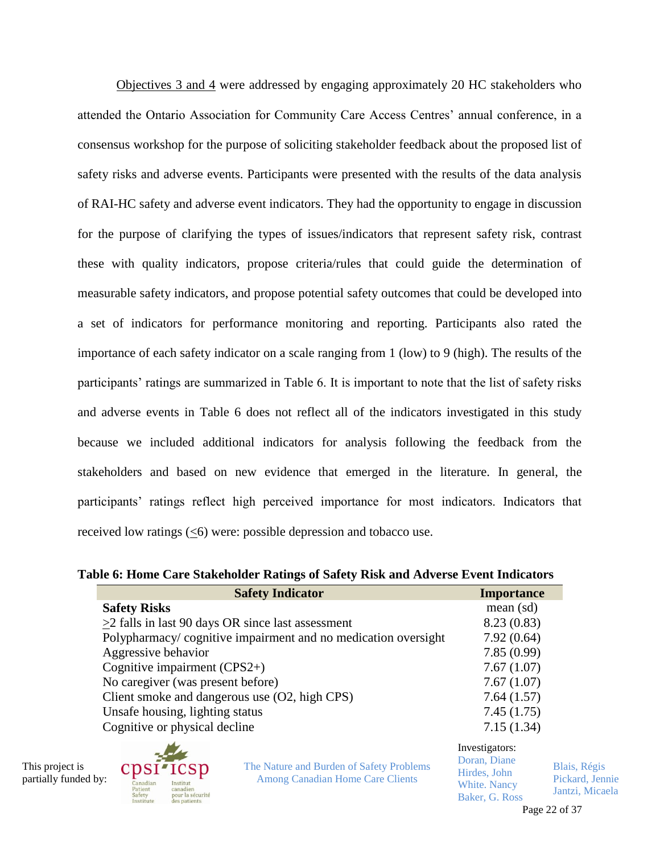Objectives 3 and 4 were addressed by engaging approximately 20 HC stakeholders who attended the Ontario Association for Community Care Access Centres' annual conference, in a consensus workshop for the purpose of soliciting stakeholder feedback about the proposed list of safety risks and adverse events. Participants were presented with the results of the data analysis of RAI-HC safety and adverse event indicators. They had the opportunity to engage in discussion for the purpose of clarifying the types of issues/indicators that represent safety risk, contrast these with quality indicators, propose criteria/rules that could guide the determination of measurable safety indicators, and propose potential safety outcomes that could be developed into a set of indicators for performance monitoring and reporting. Participants also rated the importance of each safety indicator on a scale ranging from 1 (low) to 9 (high). The results of the participants' ratings are summarized in Table 6. It is important to note that the list of safety risks and adverse events in Table 6 does not reflect all of the indicators investigated in this study because we included additional indicators for analysis following the feedback from the stakeholders and based on new evidence that emerged in the literature. In general, the participants' ratings reflect high perceived importance for most indicators. Indicators that received low ratings (<6) were: possible depression and tobacco use.

#### **Table 6: Home Care Stakeholder Ratings of Safety Risk and Adverse Event Indicators**

| <b>Safety Indicator</b>                                       | <b>Importance</b>                           |
|---------------------------------------------------------------|---------------------------------------------|
| <b>Safety Risks</b>                                           | mean (sd)                                   |
| $>2$ falls in last 90 days OR since last assessment           | 8.23(0.83)                                  |
| Polypharmacy/cognitive impairment and no medication oversight | 7.92(0.64)                                  |
| Aggressive behavior                                           | 7.85(0.99)                                  |
| Cognitive impairment $(CPS2+)$                                | 7.67(1.07)                                  |
| No caregiver (was present before)                             | 7.67(1.07)                                  |
| Client smoke and dangerous use (O2, high CPS)                 | 7.64(1.57)                                  |
| Unsafe housing, lighting status                               | 7.45(1.75)                                  |
| Cognitive or physical decline                                 | 7.15(1.34)                                  |
|                                                               | Investigators:<br>$\mathbf{r}$ $\mathbf{r}$ |

This project is partially funded by:



The Nature and Burden of Safety Problems Among Canadian Home Care Clients

| Investigators:      |  |
|---------------------|--|
| Doran, Diane        |  |
| Hirdes, John        |  |
| <b>White, Nancy</b> |  |

Baker, G. Ross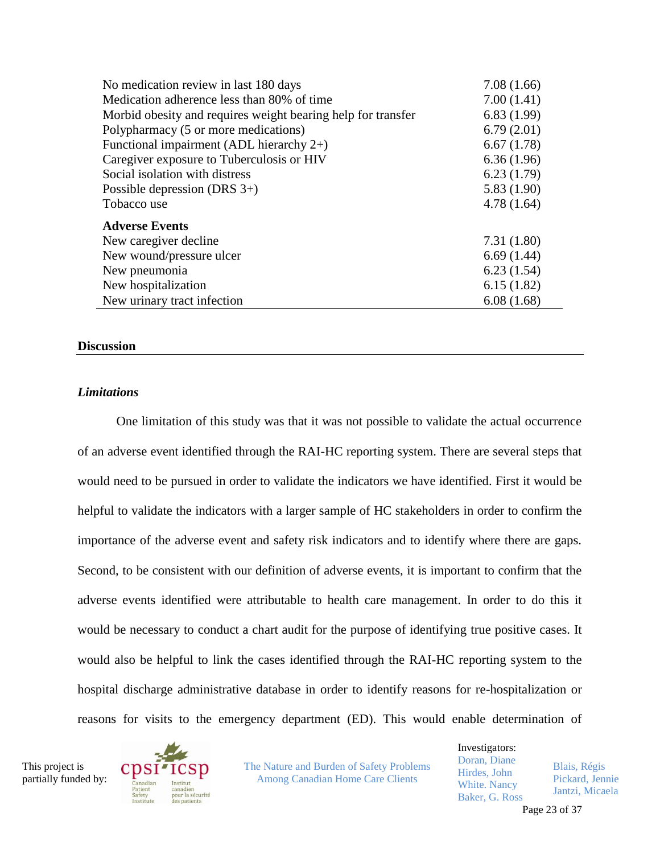| No medication review in last 180 days                        | 7.08(1.66) |
|--------------------------------------------------------------|------------|
| Medication adherence less than 80% of time                   | 7.00(1.41) |
| Morbid obesity and requires weight bearing help for transfer | 6.83(1.99) |
| Polypharmacy (5 or more medications)                         | 6.79(2.01) |
| Functional impairment (ADL hierarchy $2+$ )                  | 6.67(1.78) |
| Caregiver exposure to Tuberculosis or HIV                    | 6.36(1.96) |
| Social isolation with distress                               | 6.23(1.79) |
| Possible depression (DRS $3+$ )                              | 5.83(1.90) |
| Tobacco use                                                  | 4.78(1.64) |
| <b>Adverse Events</b>                                        |            |
| New caregiver decline                                        | 7.31(1.80) |
| New wound/pressure ulcer                                     | 6.69(1.44) |
| New pneumonia                                                | 6.23(1.54) |
| New hospitalization                                          | 6.15(1.82) |
| New urinary tract infection                                  | 6.08(1.68) |

#### **Discussion**

#### *Limitations*

One limitation of this study was that it was not possible to validate the actual occurrence of an adverse event identified through the RAI-HC reporting system. There are several steps that would need to be pursued in order to validate the indicators we have identified. First it would be helpful to validate the indicators with a larger sample of HC stakeholders in order to confirm the importance of the adverse event and safety risk indicators and to identify where there are gaps. Second, to be consistent with our definition of adverse events, it is important to confirm that the adverse events identified were attributable to health care management. In order to do this it would be necessary to conduct a chart audit for the purpose of identifying true positive cases. It would also be helpful to link the cases identified through the RAI-HC reporting system to the hospital discharge administrative database in order to identify reasons for re-hospitalization or reasons for visits to the emergency department (ED). This would enable determination of

This project is partially funded by:



The Nature and Burden of Safety Problems Among Canadian Home Care Clients

Investigators: Doran, Diane Hirdes, John White. Nancy Baker, G. Ross Blais, Régis Pickard, Jennie Jantzi, Micaela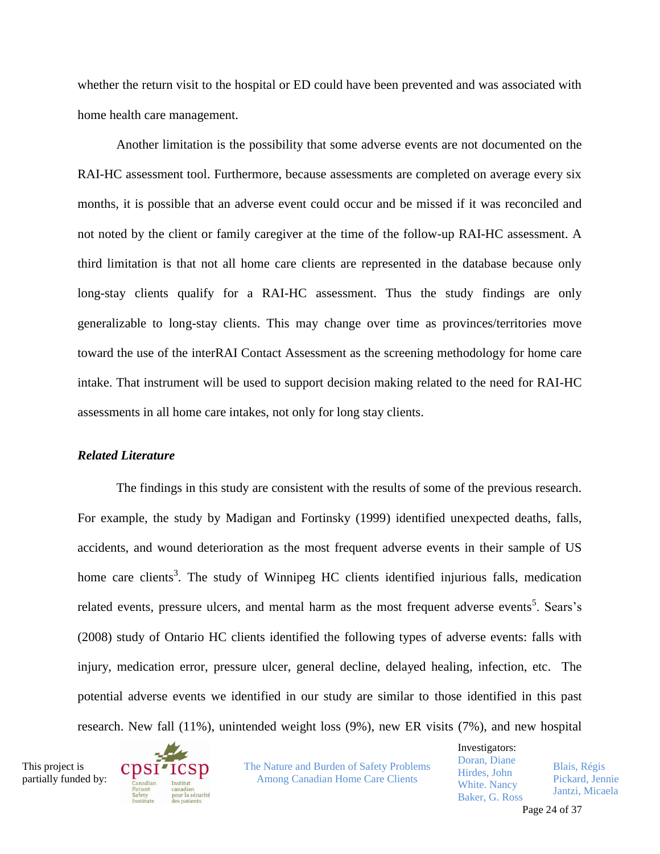whether the return visit to the hospital or ED could have been prevented and was associated with home health care management.

Another limitation is the possibility that some adverse events are not documented on the RAI-HC assessment tool. Furthermore, because assessments are completed on average every six months, it is possible that an adverse event could occur and be missed if it was reconciled and not noted by the client or family caregiver at the time of the follow-up RAI-HC assessment. A third limitation is that not all home care clients are represented in the database because only long-stay clients qualify for a RAI-HC assessment. Thus the study findings are only generalizable to long-stay clients. This may change over time as provinces/territories move toward the use of the interRAI Contact Assessment as the screening methodology for home care intake. That instrument will be used to support decision making related to the need for RAI-HC assessments in all home care intakes, not only for long stay clients.

#### *Related Literature*

The findings in this study are consistent with the results of some of the previous research. For example, the study by Madigan and Fortinsky (1999) identified unexpected deaths, falls, accidents, and wound deterioration as the most frequent adverse events in their sample of US home care clients<sup>3</sup>. The study of Winnipeg HC clients identified injurious falls, medication related events, pressure ulcers, and mental harm as the most frequent adverse events<sup>5</sup>. Sears's (2008) study of Ontario HC clients identified the following types of adverse events: falls with injury, medication error, pressure ulcer, general decline, delayed healing, infection, etc. The potential adverse events we identified in our study are similar to those identified in this past research. New fall (11%), unintended weight loss (9%), new ER visits (7%), and new hospital

This project is partially funded by:



The Nature and Burden of Safety Problems Among Canadian Home Care Clients

Investigators: Doran, Diane Hirdes, John White. Nancy Baker, G. Ross Blais, Régis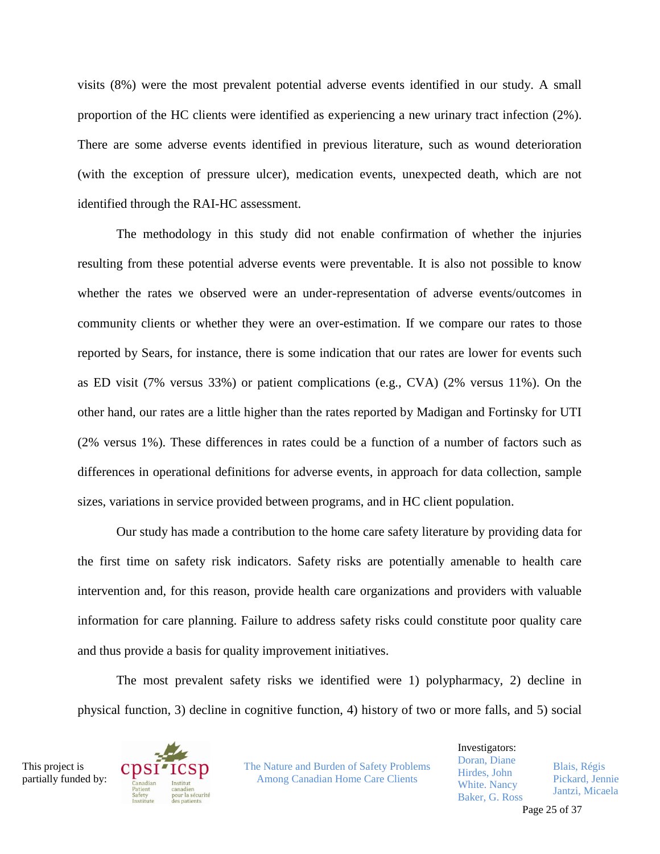visits (8%) were the most prevalent potential adverse events identified in our study. A small proportion of the HC clients were identified as experiencing a new urinary tract infection (2%). There are some adverse events identified in previous literature, such as wound deterioration (with the exception of pressure ulcer), medication events, unexpected death, which are not identified through the RAI-HC assessment.

The methodology in this study did not enable confirmation of whether the injuries resulting from these potential adverse events were preventable. It is also not possible to know whether the rates we observed were an under-representation of adverse events/outcomes in community clients or whether they were an over-estimation. If we compare our rates to those reported by Sears, for instance, there is some indication that our rates are lower for events such as ED visit (7% versus 33%) or patient complications (e.g., CVA) (2% versus 11%). On the other hand, our rates are a little higher than the rates reported by Madigan and Fortinsky for UTI (2% versus 1%). These differences in rates could be a function of a number of factors such as differences in operational definitions for adverse events, in approach for data collection, sample sizes, variations in service provided between programs, and in HC client population.

Our study has made a contribution to the home care safety literature by providing data for the first time on safety risk indicators. Safety risks are potentially amenable to health care intervention and, for this reason, provide health care organizations and providers with valuable information for care planning. Failure to address safety risks could constitute poor quality care and thus provide a basis for quality improvement initiatives.

The most prevalent safety risks we identified were 1) polypharmacy, 2) decline in physical function, 3) decline in cognitive function, 4) history of two or more falls, and 5) social

This project is partially funded by:



The Nature and Burden of Safety Problems Among Canadian Home Care Clients

Investigators: Doran, Diane Hirdes, John White. Nancy Baker, G. Ross Blais, Régis Pickard, Jennie Jantzi, Micaela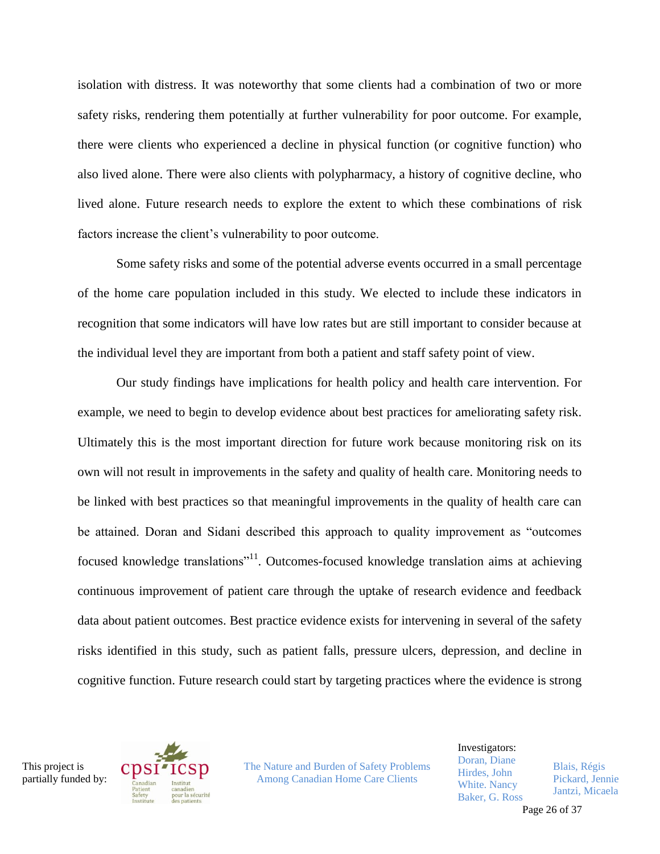isolation with distress. It was noteworthy that some clients had a combination of two or more safety risks, rendering them potentially at further vulnerability for poor outcome. For example, there were clients who experienced a decline in physical function (or cognitive function) who also lived alone. There were also clients with polypharmacy, a history of cognitive decline, who lived alone. Future research needs to explore the extent to which these combinations of risk factors increase the client's vulnerability to poor outcome.

Some safety risks and some of the potential adverse events occurred in a small percentage of the home care population included in this study. We elected to include these indicators in recognition that some indicators will have low rates but are still important to consider because at the individual level they are important from both a patient and staff safety point of view.

Our study findings have implications for health policy and health care intervention. For example, we need to begin to develop evidence about best practices for ameliorating safety risk. Ultimately this is the most important direction for future work because monitoring risk on its own will not result in improvements in the safety and quality of health care. Monitoring needs to be linked with best practices so that meaningful improvements in the quality of health care can be attained. Doran and Sidani described this approach to quality improvement as "outcomes focused knowledge translations"<sup>11</sup>. Outcomes-focused knowledge translation aims at achieving continuous improvement of patient care through the uptake of research evidence and feedback data about patient outcomes. Best practice evidence exists for intervening in several of the safety risks identified in this study, such as patient falls, pressure ulcers, depression, and decline in cognitive function. Future research could start by targeting practices where the evidence is strong





The Nature and Burden of Safety Problems Among Canadian Home Care Clients

Investigators: Doran, Diane Hirdes, John White. Nancy Baker, G. Ross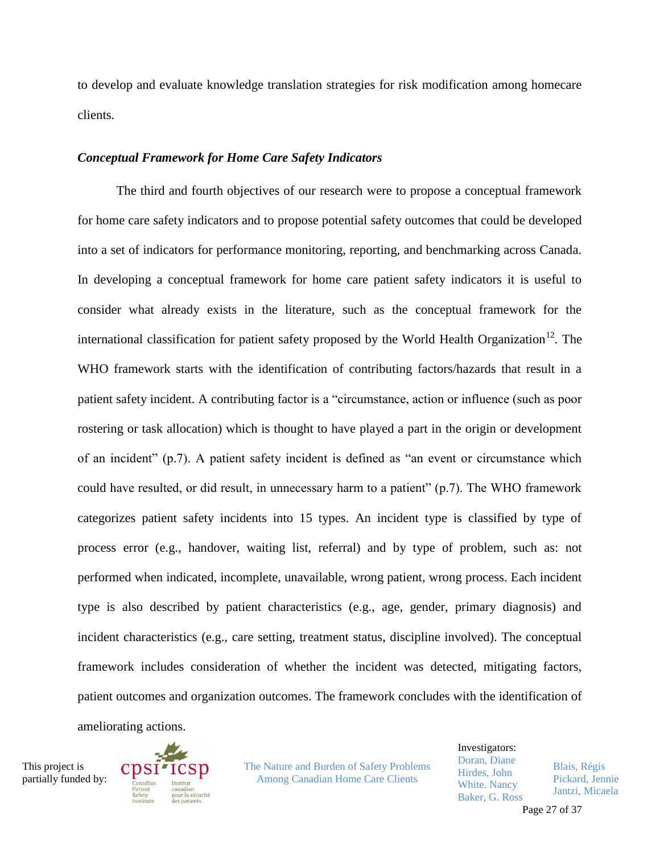to develop and evaluate knowledge translation strategies for risk modification among homecare clients.

#### *Conceptual Framework for Home Care Safety Indicators*

The third and fourth objectives of our research were to propose a conceptual framework for home care safety indicators and to propose potential safety outcomes that could be developed into a set of indicators for performance monitoring, reporting, and benchmarking across Canada. In developing a conceptual framework for home care patient safety indicators it is useful to consider what already exists in the literature, such as the conceptual framework for the international classification for patient safety proposed by the World Health Organization<sup>12</sup>. The WHO framework starts with the identification of contributing factors/hazards that result in a patient safety incident. A contributing factor is a "circumstance, action or influence (such as poor rostering or task allocation) which is thought to have played a part in the origin or development of an incident" (p.7). A patient safety incident is defined as "an event or circumstance which could have resulted, or did result, in unnecessary harm to a patient" (p.7). The WHO framework categorizes patient safety incidents into 15 types. An incident type is classified by type of process error (e.g., handover, waiting list, referral) and by type of problem, such as: not performed when indicated, incomplete, unavailable, wrong patient, wrong process. Each incident type is also described by patient characteristics (e.g., age, gender, primary diagnosis) and incident characteristics (e.g., care setting, treatment status, discipline involved). The conceptual framework includes consideration of whether the incident was detected, mitigating factors, patient outcomes and organization outcomes. The framework concludes with the identification of ameliorating actions.

This project is partially funded by:



The Nature and Burden of Safety Problems Among Canadian Home Care Clients

Investigators: Doran, Diane Hirdes, John White. Nancy Baker, G. Ross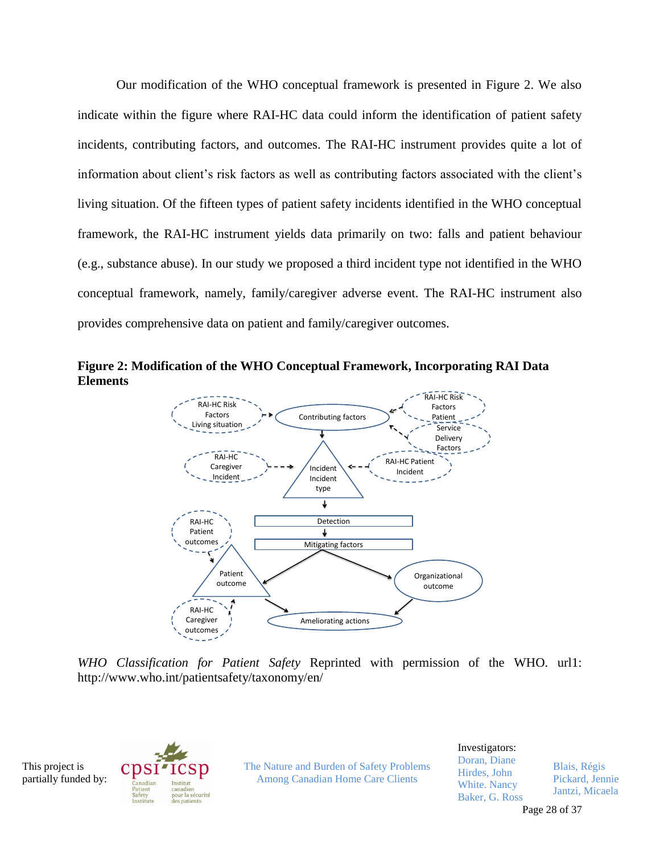Our modification of the WHO conceptual framework is presented in Figure 2. We also indicate within the figure where RAI-HC data could inform the identification of patient safety incidents, contributing factors, and outcomes. The RAI-HC instrument provides quite a lot of information about client's risk factors as well as contributing factors associated with the client's living situation. Of the fifteen types of patient safety incidents identified in the WHO conceptual framework, the RAI-HC instrument yields data primarily on two: falls and patient behaviour (e.g., substance abuse). In our study we proposed a third incident type not identified in the WHO conceptual framework, namely, family/caregiver adverse event. The RAI-HC instrument also provides comprehensive data on patient and family/caregiver outcomes.



<span id="page-28-0"></span>

*WHO Classification for Patient Safety* Reprinted with permission of the WHO. url1: http://www.who.int/patientsafety/taxonomy/en/

This project is partially funded by:



The Nature and Burden of Safety Problems Among Canadian Home Care Clients

Investigators: Doran, Diane Hirdes, John White. Nancy Baker, G. Ross Blais, Régis

Pickard, Jennie Jantzi, Micaela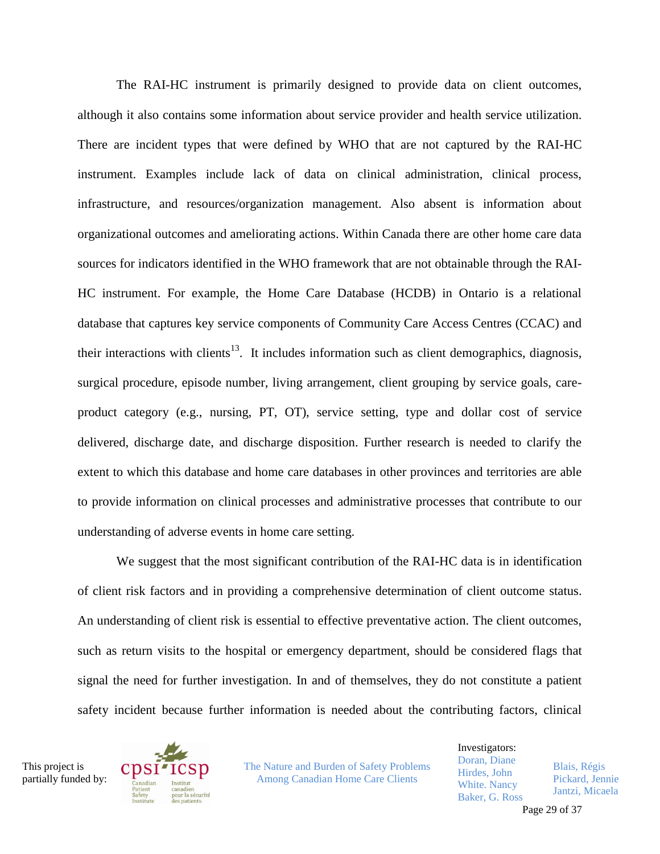The RAI-HC instrument is primarily designed to provide data on client outcomes, although it also contains some information about service provider and health service utilization. There are incident types that were defined by WHO that are not captured by the RAI-HC instrument. Examples include lack of data on clinical administration, clinical process, infrastructure, and resources/organization management. Also absent is information about organizational outcomes and ameliorating actions. Within Canada there are other home care data sources for indicators identified in the WHO framework that are not obtainable through the RAI-HC instrument. For example, the Home Care Database (HCDB) in Ontario is a relational database that captures key service components of Community Care Access Centres (CCAC) and their interactions with clients<sup>13</sup>. It includes information such as client demographics, diagnosis, surgical procedure, episode number, living arrangement, client grouping by service goals, careproduct category (e.g., nursing, PT, OT), service setting, type and dollar cost of service delivered, discharge date, and discharge disposition. Further research is needed to clarify the extent to which this database and home care databases in other provinces and territories are able to provide information on clinical processes and administrative processes that contribute to our understanding of adverse events in home care setting.

We suggest that the most significant contribution of the RAI-HC data is in identification of client risk factors and in providing a comprehensive determination of client outcome status. An understanding of client risk is essential to effective preventative action. The client outcomes, such as return visits to the hospital or emergency department, should be considered flags that signal the need for further investigation. In and of themselves, they do not constitute a patient safety incident because further information is needed about the contributing factors, clinical

This project is partially funded by:



The Nature and Burden of Safety Problems Among Canadian Home Care Clients

Investigators: Doran, Diane Hirdes, John White. Nancy Baker, G. Ross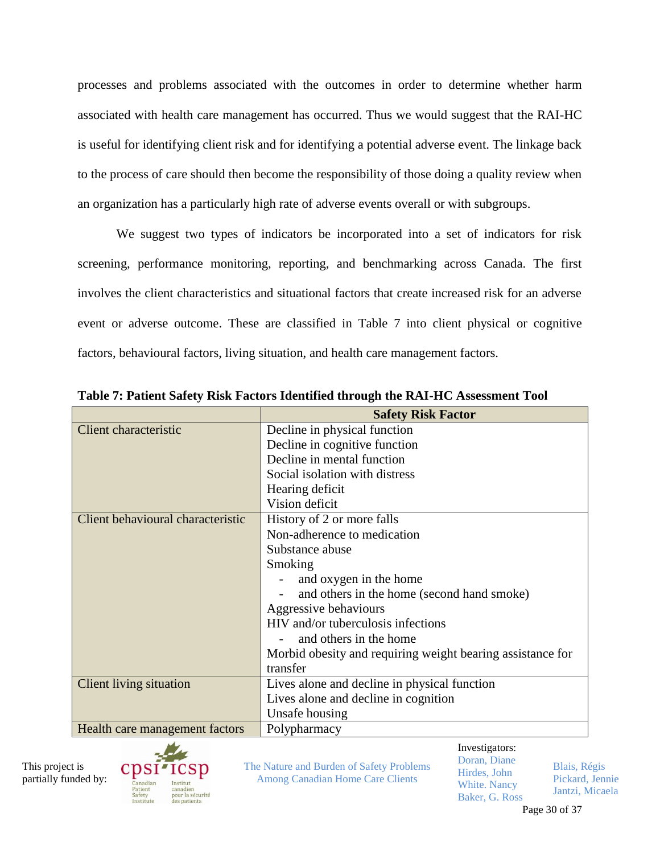processes and problems associated with the outcomes in order to determine whether harm associated with health care management has occurred. Thus we would suggest that the RAI-HC is useful for identifying client risk and for identifying a potential adverse event. The linkage back to the process of care should then become the responsibility of those doing a quality review when an organization has a particularly high rate of adverse events overall or with subgroups.

We suggest two types of indicators be incorporated into a set of indicators for risk screening, performance monitoring, reporting, and benchmarking across Canada. The first involves the client characteristics and situational factors that create increased risk for an adverse event or adverse outcome. These are classified in Table 7 into client physical or cognitive factors, behavioural factors, living situation, and health care management factors.

|                                   | <b>Safety Risk Factor</b>                                  |
|-----------------------------------|------------------------------------------------------------|
| Client characteristic             | Decline in physical function                               |
|                                   | Decline in cognitive function                              |
|                                   | Decline in mental function                                 |
|                                   | Social isolation with distress                             |
|                                   | Hearing deficit                                            |
|                                   | Vision deficit                                             |
| Client behavioural characteristic | History of 2 or more falls                                 |
|                                   | Non-adherence to medication                                |
|                                   | Substance abuse                                            |
|                                   | Smoking                                                    |
|                                   | and oxygen in the home                                     |
|                                   | and others in the home (second hand smoke)                 |
|                                   | Aggressive behaviours                                      |
|                                   | HIV and/or tuberculosis infections                         |
|                                   | and others in the home                                     |
|                                   | Morbid obesity and requiring weight bearing assistance for |
|                                   | transfer                                                   |
| <b>Client living situation</b>    | Lives alone and decline in physical function               |
|                                   | Lives alone and decline in cognition                       |
|                                   | Unsafe housing                                             |
| Health care management factors    | Polypharmacy                                               |
|                                   | Investigators:                                             |

**Table 7: Patient Safety Risk Factors Identified through the RAI-HC Assessment Tool**

This project is partially funded by:



The Nature and Burden of Safety Problems Among Canadian Home Care Clients

Doran, Diane Hirdes, John

White. Nancy Baker, G. Ross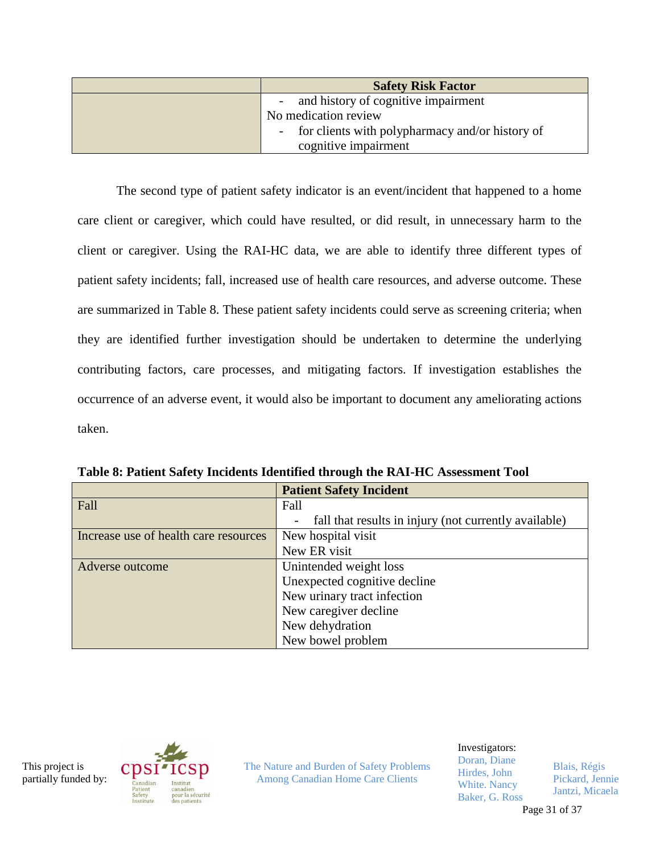| <b>Safety Risk Factor</b>                       |
|-------------------------------------------------|
| and history of cognitive impairment             |
| No medication review                            |
| for clients with polypharmacy and/or history of |
| cognitive impairment                            |

The second type of patient safety indicator is an event/incident that happened to a home care client or caregiver, which could have resulted, or did result, in unnecessary harm to the client or caregiver. Using the RAI-HC data, we are able to identify three different types of patient safety incidents; fall, increased use of health care resources, and adverse outcome. These are summarized in Table 8. These patient safety incidents could serve as screening criteria; when they are identified further investigation should be undertaken to determine the underlying contributing factors, care processes, and mitigating factors. If investigation establishes the occurrence of an adverse event, it would also be important to document any ameliorating actions taken.

|                                       | <b>Patient Safety Incident</b>                        |
|---------------------------------------|-------------------------------------------------------|
| Fall                                  | Fall                                                  |
|                                       | fall that results in injury (not currently available) |
| Increase use of health care resources | New hospital visit                                    |
|                                       | New ER visit                                          |
| Adverse outcome                       | Unintended weight loss                                |
|                                       | Unexpected cognitive decline                          |
|                                       | New urinary tract infection                           |
|                                       | New caregiver decline                                 |
|                                       | New dehydration                                       |
|                                       | New bowel problem                                     |

**Table 8: Patient Safety Incidents Identified through the RAI-HC Assessment Tool**

This project is partially funded by:



The Nature and Burden of Safety Problems Among Canadian Home Care Clients

Investigators:

Doran, Diane Hirdes, John White. Nancy Baker, G. Ross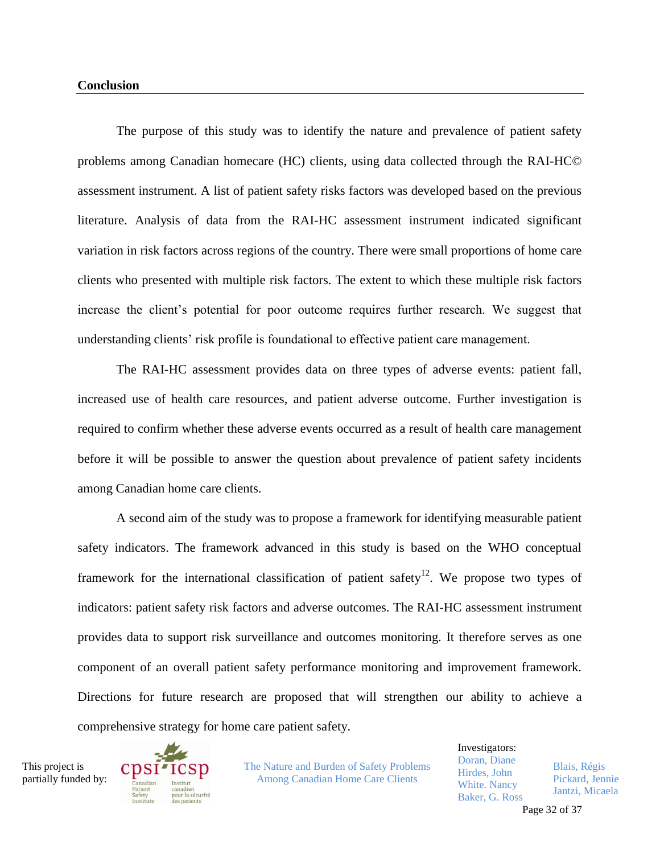The purpose of this study was to identify the nature and prevalence of patient safety problems among Canadian homecare (HC) clients, using data collected through the RAI-HC© assessment instrument. A list of patient safety risks factors was developed based on the previous literature. Analysis of data from the RAI-HC assessment instrument indicated significant variation in risk factors across regions of the country. There were small proportions of home care clients who presented with multiple risk factors. The extent to which these multiple risk factors increase the client's potential for poor outcome requires further research. We suggest that understanding clients' risk profile is foundational to effective patient care management.

The RAI-HC assessment provides data on three types of adverse events: patient fall, increased use of health care resources, and patient adverse outcome. Further investigation is required to confirm whether these adverse events occurred as a result of health care management before it will be possible to answer the question about prevalence of patient safety incidents among Canadian home care clients.

A second aim of the study was to propose a framework for identifying measurable patient safety indicators. The framework advanced in this study is based on the WHO conceptual framework for the international classification of patient safety<sup>12</sup>. We propose two types of indicators: patient safety risk factors and adverse outcomes. The RAI-HC assessment instrument provides data to support risk surveillance and outcomes monitoring. It therefore serves as one component of an overall patient safety performance monitoring and improvement framework. Directions for future research are proposed that will strengthen our ability to achieve a comprehensive strategy for home care patient safety.

This project is partially funded by:



The Nature and Burden of Safety Problems Among Canadian Home Care Clients

Investigators: Doran, Diane Hirdes, John White. Nancy Baker, G. Ross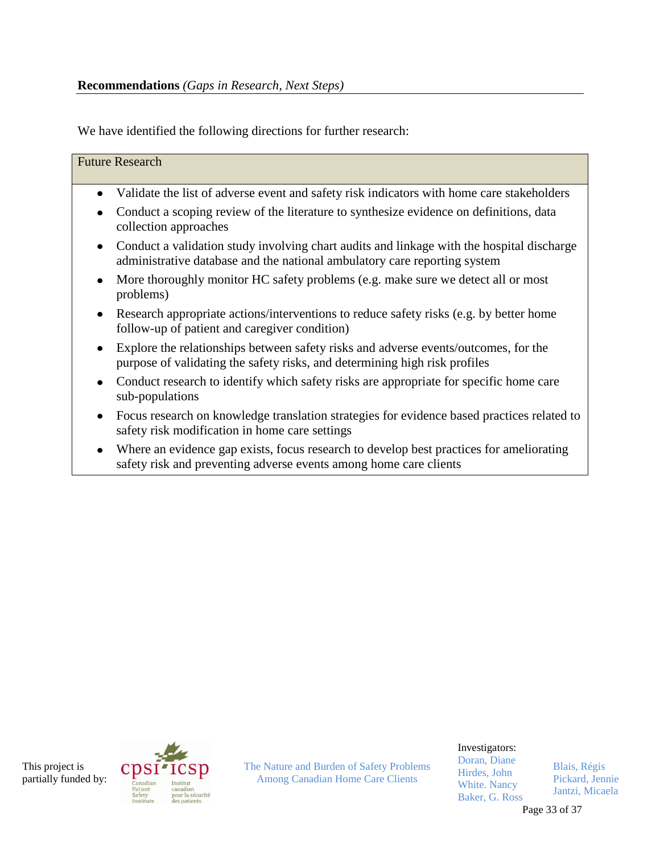We have identified the following directions for further research:

| <b>Future Research</b>                                                                                                                                                      |
|-----------------------------------------------------------------------------------------------------------------------------------------------------------------------------|
| Validate the list of adverse event and safety risk indicators with home care stakeholders<br>$\bullet$                                                                      |
| Conduct a scoping review of the literature to synthesize evidence on definitions, data<br>$\bullet$<br>collection approaches                                                |
| Conduct a validation study involving chart audits and linkage with the hospital discharge<br>٠<br>administrative database and the national ambulatory care reporting system |
| More thoroughly monitor HC safety problems (e.g. make sure we detect all or most<br>problems)                                                                               |
| Research appropriate actions/interventions to reduce safety risks (e.g. by better home<br>٠<br>follow-up of patient and caregiver condition)                                |
| Explore the relationships between safety risks and adverse events/outcomes, for the<br>٠<br>purpose of validating the safety risks, and determining high risk profiles      |
| Conduct research to identify which safety risks are appropriate for specific home care<br>٠<br>sub-populations                                                              |
| Focus research on knowledge translation strategies for evidence based practices related to<br>٠<br>safety risk modification in home care settings                           |
| Where an evidence gap exists, focus research to develop best practices for ameliorating<br>safety risk and preventing adverse events among home care clients                |
|                                                                                                                                                                             |

This project is partially funded by:



The Nature and Burden of Safety Problems Among Canadian Home Care Clients

Investigators:

Doran, Diane Hirdes, John White. Nancy Baker, G. Ross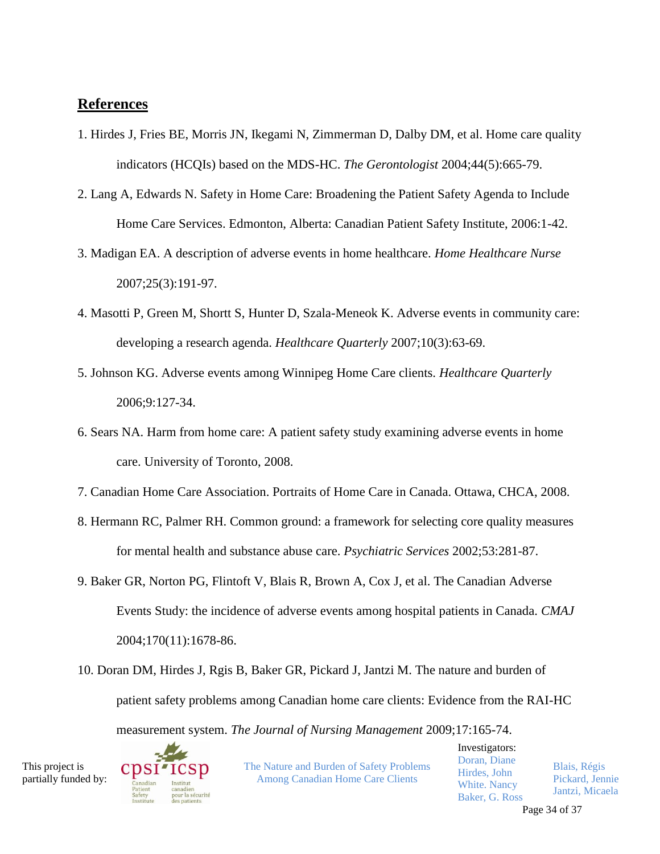# **References**

- 1. Hirdes J, Fries BE, Morris JN, Ikegami N, Zimmerman D, Dalby DM, et al. Home care quality indicators (HCQIs) based on the MDS-HC. *The Gerontologist* 2004;44(5):665-79.
- 2. Lang A, Edwards N. Safety in Home Care: Broadening the Patient Safety Agenda to Include Home Care Services. Edmonton, Alberta: Canadian Patient Safety Institute, 2006:1-42.
- 3. Madigan EA. A description of adverse events in home healthcare. *Home Healthcare Nurse* 2007;25(3):191-97.
- 4. Masotti P, Green M, Shortt S, Hunter D, Szala-Meneok K. Adverse events in community care: developing a research agenda. *Healthcare Quarterly* 2007;10(3):63-69.
- 5. Johnson KG. Adverse events among Winnipeg Home Care clients. *Healthcare Quarterly* 2006;9:127-34.
- 6. Sears NA. Harm from home care: A patient safety study examining adverse events in home care. University of Toronto, 2008.
- 7. Canadian Home Care Association. Portraits of Home Care in Canada. Ottawa, CHCA, 2008.
- 8. Hermann RC, Palmer RH. Common ground: a framework for selecting core quality measures for mental health and substance abuse care. *Psychiatric Services* 2002;53:281-87.
- 9. Baker GR, Norton PG, Flintoft V, Blais R, Brown A, Cox J, et al. The Canadian Adverse Events Study: the incidence of adverse events among hospital patients in Canada. *CMAJ* 2004;170(11):1678-86.
- 10. Doran DM, Hirdes J, Rgis B, Baker GR, Pickard J, Jantzi M. The nature and burden of patient safety problems among Canadian home care clients: Evidence from the RAI-HC

measurement system. *The Journal of Nursing Management* 2009;17:165-74.

This project is partially funded by:



The Nature and Burden of Safety Problems Among Canadian Home Care Clients

Investigators: Doran, Diane Hirdes, John White. Nancy Baker, G. Ross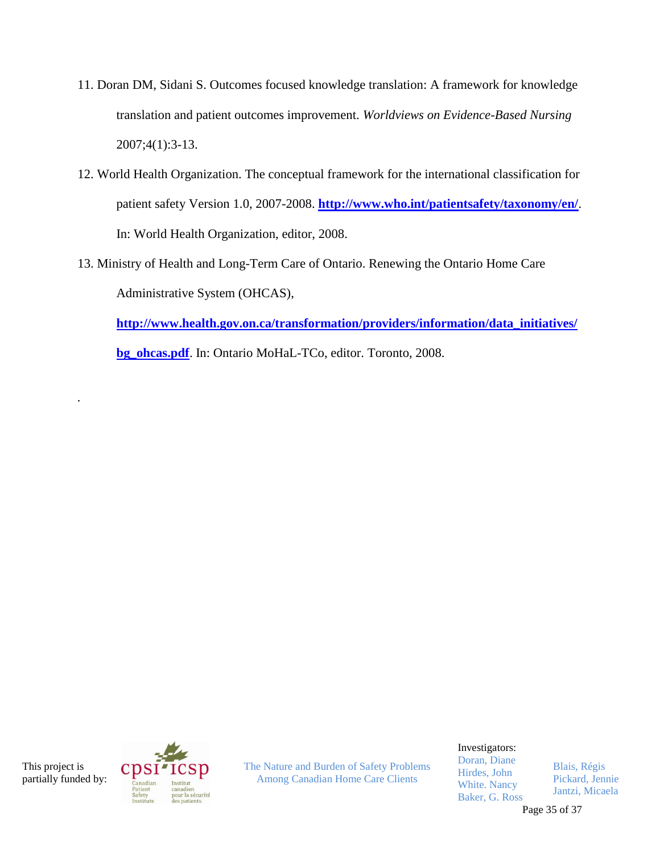- 11. Doran DM, Sidani S. Outcomes focused knowledge translation: A framework for knowledge translation and patient outcomes improvement. *Worldviews on Evidence-Based Nursing* 2007;4(1):3-13.
- 12. World Health Organization. The conceptual framework for the international classification for patient safety Version 1.0, 2007-2008. **<http://www.who.int/patientsafety/taxonomy/en/>**. In: World Health Organization, editor, 2008.
- 13. Ministry of Health and Long-Term Care of Ontario. Renewing the Ontario Home Care Administrative System (OHCAS),

**[http://www.health.gov.on.ca/transformation/providers/information/data\\_initiatives/](http://www.health.gov.on.ca/transformation/providers/information/data_initiatives/bg_ohcas.pdf)**

**[bg\\_ohcas.pdf](http://www.health.gov.on.ca/transformation/providers/information/data_initiatives/bg_ohcas.pdf)**. In: Ontario MoHaL-TCo, editor. Toronto, 2008.

This project is partially funded by:

*.*



The Nature and Burden of Safety Problems Among Canadian Home Care Clients

Investigators:

Doran, Diane Hirdes, John White. Nancy Baker, G. Ross